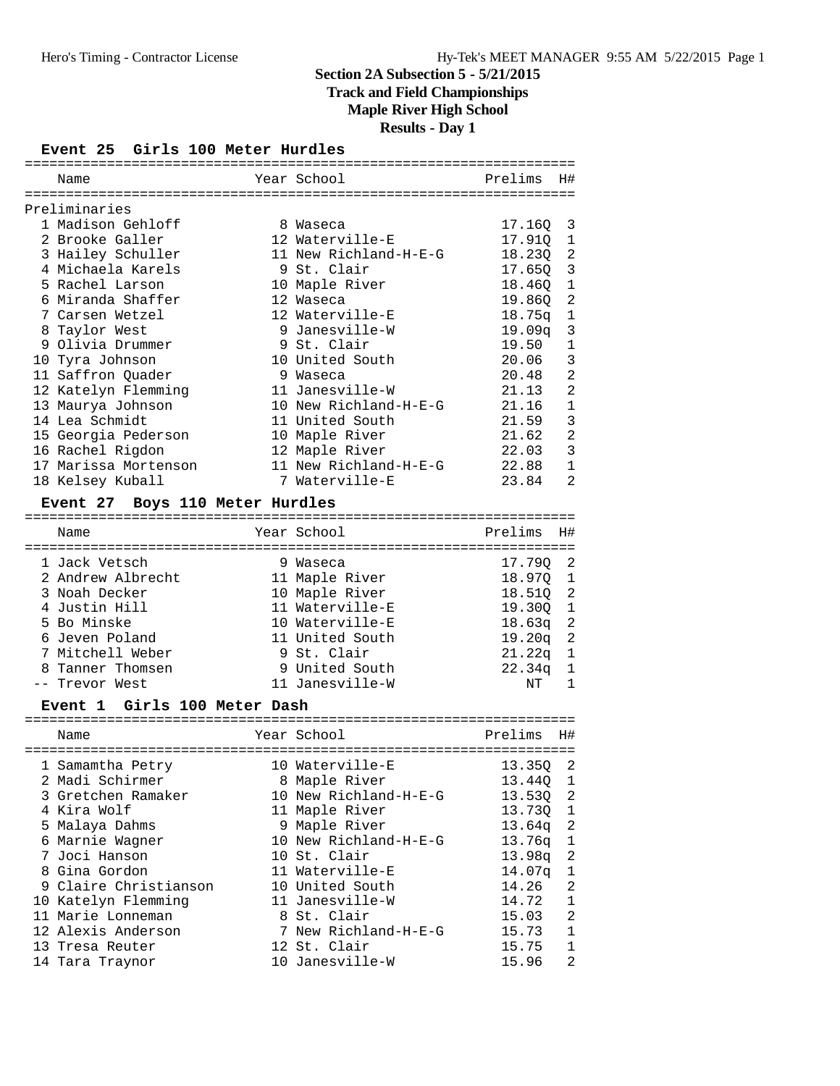**Track and Field Championships**

**Maple River High School**

**Results - Day 1**

### **Event 25 Girls 100 Meter Hurdles**

| Name |                                                                                                                                                                                                                                                                                                                                                                                              |             | Prelims                                                                                                                                                                                                                                                                                                                                            | Η#             |  |  |  |  |
|------|----------------------------------------------------------------------------------------------------------------------------------------------------------------------------------------------------------------------------------------------------------------------------------------------------------------------------------------------------------------------------------------------|-------------|----------------------------------------------------------------------------------------------------------------------------------------------------------------------------------------------------------------------------------------------------------------------------------------------------------------------------------------------------|----------------|--|--|--|--|
|      |                                                                                                                                                                                                                                                                                                                                                                                              |             |                                                                                                                                                                                                                                                                                                                                                    |                |  |  |  |  |
|      |                                                                                                                                                                                                                                                                                                                                                                                              |             |                                                                                                                                                                                                                                                                                                                                                    |                |  |  |  |  |
|      |                                                                                                                                                                                                                                                                                                                                                                                              |             | 17.160 3                                                                                                                                                                                                                                                                                                                                           |                |  |  |  |  |
|      |                                                                                                                                                                                                                                                                                                                                                                                              |             | 17.910 1                                                                                                                                                                                                                                                                                                                                           |                |  |  |  |  |
|      |                                                                                                                                                                                                                                                                                                                                                                                              |             | 18.23Q 2                                                                                                                                                                                                                                                                                                                                           |                |  |  |  |  |
|      |                                                                                                                                                                                                                                                                                                                                                                                              |             | $17.65Q$ 3                                                                                                                                                                                                                                                                                                                                         |                |  |  |  |  |
|      |                                                                                                                                                                                                                                                                                                                                                                                              |             | 18.46Q 1                                                                                                                                                                                                                                                                                                                                           |                |  |  |  |  |
|      |                                                                                                                                                                                                                                                                                                                                                                                              |             | 19.860                                                                                                                                                                                                                                                                                                                                             | $\overline{a}$ |  |  |  |  |
|      |                                                                                                                                                                                                                                                                                                                                                                                              |             | $18.75q$ 1                                                                                                                                                                                                                                                                                                                                         |                |  |  |  |  |
|      |                                                                                                                                                                                                                                                                                                                                                                                              |             | 19.09q                                                                                                                                                                                                                                                                                                                                             | $\mathbf{3}$   |  |  |  |  |
|      |                                                                                                                                                                                                                                                                                                                                                                                              |             | 19.50                                                                                                                                                                                                                                                                                                                                              | $\mathbf{1}$   |  |  |  |  |
|      |                                                                                                                                                                                                                                                                                                                                                                                              |             | 20.06                                                                                                                                                                                                                                                                                                                                              | $\mathbf{3}$   |  |  |  |  |
|      |                                                                                                                                                                                                                                                                                                                                                                                              |             | 20.48                                                                                                                                                                                                                                                                                                                                              | $\overline{a}$ |  |  |  |  |
|      |                                                                                                                                                                                                                                                                                                                                                                                              |             | 21.13                                                                                                                                                                                                                                                                                                                                              | $\overline{2}$ |  |  |  |  |
|      |                                                                                                                                                                                                                                                                                                                                                                                              |             | 21.16                                                                                                                                                                                                                                                                                                                                              | $\mathbf{1}$   |  |  |  |  |
|      |                                                                                                                                                                                                                                                                                                                                                                                              |             | 21.59                                                                                                                                                                                                                                                                                                                                              | 3              |  |  |  |  |
|      |                                                                                                                                                                                                                                                                                                                                                                                              |             | 21.62                                                                                                                                                                                                                                                                                                                                              | $\overline{2}$ |  |  |  |  |
|      |                                                                                                                                                                                                                                                                                                                                                                                              |             | 22.03                                                                                                                                                                                                                                                                                                                                              | 3              |  |  |  |  |
|      |                                                                                                                                                                                                                                                                                                                                                                                              |             | 22.88                                                                                                                                                                                                                                                                                                                                              | $\mathbf{1}$   |  |  |  |  |
|      |                                                                                                                                                                                                                                                                                                                                                                                              |             | 23.84                                                                                                                                                                                                                                                                                                                                              | $\overline{2}$ |  |  |  |  |
|      | Preliminaries<br>1 Madison Gehloff<br>2 Brooke Galler<br>3 Hailey Schuller<br>4 Michaela Karels<br>5 Rachel Larson<br>6 Miranda Shaffer<br>7 Carsen Wetzel<br>8 Taylor West<br>9 Olivia Drummer<br>10 Tyra Johnson<br>11 Saffron Quader<br>12 Katelyn Flemming<br>13 Maurya Johnson<br>14 Lea Schmidt<br>15 Georgia Pederson<br>16 Rachel Rigdon<br>17 Marissa Mortenson<br>18 Kelsey Kuball | =========== | Year School<br>8 Waseca<br>12 Waterville-E<br>11 New Richland-H-E-G<br>9 St. Clair<br>10 Maple River<br>12 Waseca<br>12 Waterville-E<br>9 Janesville-W<br>9 St. Clair<br>10 United South<br>9 Waseca<br>11 Janesville-W<br>10 New Richland-H-E-G<br>11 United South<br>10 Maple River<br>12 Maple River<br>11 New Richland-H-E-G<br>7 Waterville-E |                |  |  |  |  |

### **Event 27 Boys 110 Meter Hurdles**

| Name |                                                                                                                                                                 | Prelims                                                                                                                                                                  | H#             |
|------|-----------------------------------------------------------------------------------------------------------------------------------------------------------------|--------------------------------------------------------------------------------------------------------------------------------------------------------------------------|----------------|
|      |                                                                                                                                                                 | 17.790                                                                                                                                                                   | - 2            |
|      |                                                                                                                                                                 | 18.970                                                                                                                                                                   | $\overline{1}$ |
|      |                                                                                                                                                                 | 18.510                                                                                                                                                                   | $\overline{2}$ |
|      |                                                                                                                                                                 | 19.300                                                                                                                                                                   | $\overline{1}$ |
|      |                                                                                                                                                                 | 18.63 <sub>q</sub>                                                                                                                                                       | $\overline{2}$ |
|      |                                                                                                                                                                 | 19.20q                                                                                                                                                                   | -2             |
|      |                                                                                                                                                                 | 21.22 <sub>q</sub>                                                                                                                                                       | -1             |
|      |                                                                                                                                                                 | 22.34 <sub>q</sub>                                                                                                                                                       | $\overline{1}$ |
|      |                                                                                                                                                                 | NΤ                                                                                                                                                                       |                |
|      | 1 Jack Vetsch<br>2 Andrew Albrecht<br>3 Noah Decker<br>4 Justin Hill<br>5 Bo Minske<br>6 Jeven Poland<br>7 Mitchell Weber<br>8 Tanner Thomsen<br>-- Trevor West | Year School<br>9 Waseca<br>11 Maple River<br>10 Maple River<br>11 Waterville-E<br>10 Waterville-E<br>11 United South<br>9 St. Clair<br>9 United South<br>11 Janesville-W |                |

### **Event 1 Girls 100 Meter Dash**

| Name                  | Year School           | Prelims    | Η#             |
|-----------------------|-----------------------|------------|----------------|
|                       |                       |            |                |
| 1 Samamtha Petry      | 10 Waterville-E       | 13.350     | - 2            |
| 2 Madi Schirmer       | 8 Maple River         | 13.440 1   |                |
| 3 Gretchen Ramaker    | 10 New Richland-H-E-G | 13.530 2   |                |
| 4 Kira Wolf           | 11 Maple River        | 13.730 1   |                |
| 5 Malaya Dahms        | 9 Maple River         | $13.64q$ 2 |                |
| 6 Marnie Wagner       | 10 New Richland-H-E-G | 13.76g     | $\mathbf{1}$   |
| 7 Joci Hanson         | 10 St. Clair          | $13.98q$ 2 |                |
| 8 Gina Gordon         | 11 Waterville-E       | 14.07q     | 1              |
| 9 Claire Christianson | 10 United South       | 14.26      | $\mathfrak{D}$ |
| 10 Katelyn Flemming   | 11 Janesville-W       | 14.72      | $\mathbf{1}$   |
| 11 Marie Lonneman     | 8 St. Clair           | 15.03      | 2              |
| 12 Alexis Anderson    | 7 New Richland-H-E-G  | 15.73      | $\mathbf{1}$   |
| 13 Tresa Reuter       | 12 St. Clair          | 15.75      | $\mathbf{1}$   |
| 14 Tara Traynor       | 10 Janesville-W       | 15.96      | 2              |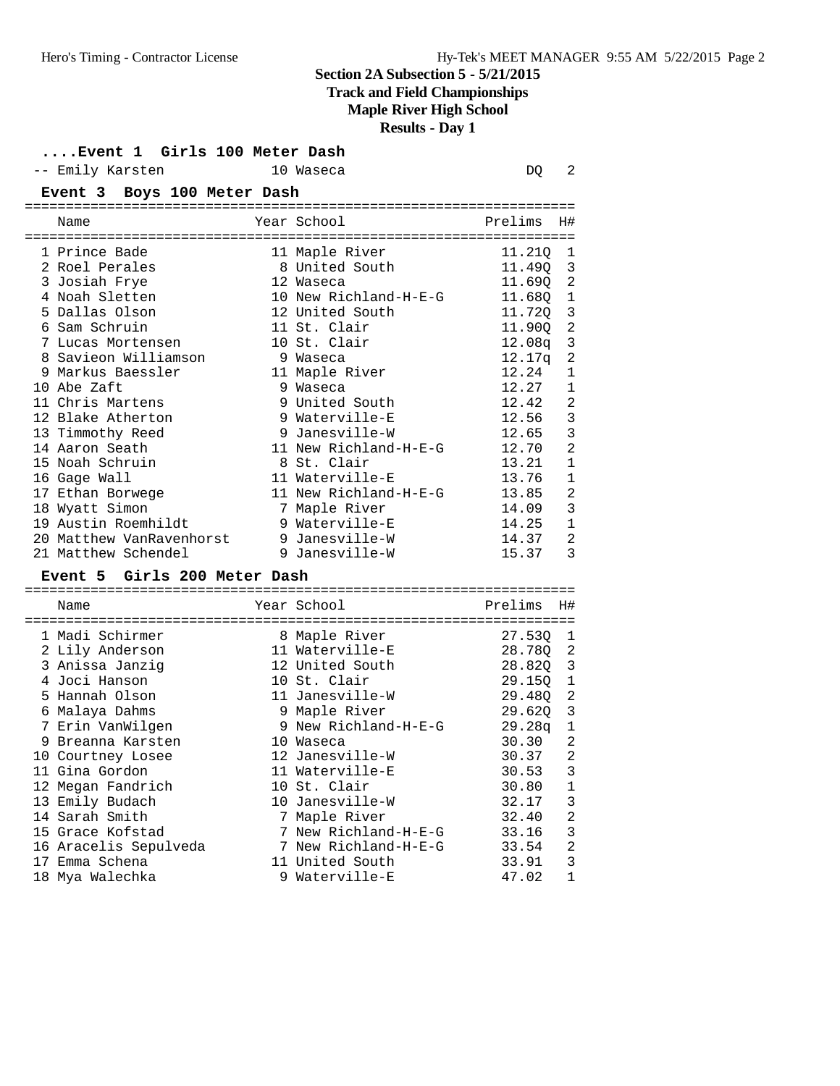# **Track and Field Championships**

#### **Maple River High School**

#### **Results - Day 1**

|                                         | Results - Day 1         |          |                                       |
|-----------------------------------------|-------------------------|----------|---------------------------------------|
| Event 1 Girls 100 Meter Dash            |                         |          |                                       |
| -- Emily Karsten                        | 10 Waseca               | DO       | 2                                     |
| Event 3 Boys 100 Meter Dash             |                         |          |                                       |
|                                         |                         |          |                                       |
| Name                                    | Year School             | Prelims  | H#                                    |
|                                         | .---------------------- |          |                                       |
| 1 Prince Bade                           | 11 Maple River          | 11.210 1 |                                       |
| 2 Roel Perales                          | 8 United South          | 11.49Q 3 |                                       |
| 3 Josiah Frye                           | 12 Waseca               | 11.690   | $\overline{c}$                        |
| 4 Noah Sletten                          | 10 New Richland-H-E-G   | 11.680   | $\mathbf{1}$                          |
| 5 Dallas Olson                          | 12 United South         | 11.720   | $\overline{3}$                        |
| 6 Sam Schruin                           | 11 St. Clair            | 11.900   | $\overline{c}$                        |
| 7 Lucas Mortensen                       | 10 St. Clair            | 12.08q   | $\overline{\mathbf{3}}$               |
| 8 Savieon Williamson                    | 9 Waseca                | 12.17q   | $\overline{a}$                        |
| 9 Markus Baessler                       | 11 Maple River          | 12.24    | $\mathbf{1}$                          |
| 10 Abe Zaft                             | 9 Waseca                | 12.27    | $\mathbf{1}$                          |
| 11 Chris Martens                        | 9 United South          | 12.42    | $\overline{a}$                        |
| 12 Blake Atherton                       | 9 Waterville-E          | 12.56    | $\begin{array}{c} 3 \\ 3 \end{array}$ |
| 13 Timmothy Reed                        | 9 Janesville-W          | 12.65    |                                       |
| 14 Aaron Seath                          | 11 New Richland-H-E-G   | 12.70    | $\overline{a}$                        |
| 15 Noah Schruin                         | 8 St. Clair             | 13.21    | $\mathbf{1}$                          |
| 16 Gage Wall                            | 11 Waterville-E         | 13.76    | $\mathbf 1$                           |
| 17 Ethan Borwege                        | 11 New Richland-H-E-G   | 13.85    | $\overline{a}$                        |
| 18 Wyatt Simon                          | 7 Maple River           | 14.09    | $\overline{3}$                        |
| 19 Austin Roemhildt                     | 9 Waterville-E          | 14.25    | $\mathbf{1}$                          |
| 20 Matthew VanRavenhorst 9 Janesville-W |                         | 14.37    | $\overline{2}$                        |
| 21 Matthew Schendel                     | 9 Janesville-W          | 15.37    | 3                                     |

### **Event 5 Girls 200 Meter Dash**

| Name |                                                                                                                                                                                                                                                                                                                                 |                    | Prelims                                                                                                                                                                                                                                                                                                            | H#                                                                      |
|------|---------------------------------------------------------------------------------------------------------------------------------------------------------------------------------------------------------------------------------------------------------------------------------------------------------------------------------|--------------------|--------------------------------------------------------------------------------------------------------------------------------------------------------------------------------------------------------------------------------------------------------------------------------------------------------------------|-------------------------------------------------------------------------|
|      |                                                                                                                                                                                                                                                                                                                                 |                    | 27.530                                                                                                                                                                                                                                                                                                             | -1                                                                      |
|      |                                                                                                                                                                                                                                                                                                                                 |                    |                                                                                                                                                                                                                                                                                                                    | 2                                                                       |
|      |                                                                                                                                                                                                                                                                                                                                 |                    |                                                                                                                                                                                                                                                                                                                    |                                                                         |
|      |                                                                                                                                                                                                                                                                                                                                 |                    |                                                                                                                                                                                                                                                                                                                    |                                                                         |
|      |                                                                                                                                                                                                                                                                                                                                 |                    |                                                                                                                                                                                                                                                                                                                    | 2                                                                       |
|      |                                                                                                                                                                                                                                                                                                                                 |                    |                                                                                                                                                                                                                                                                                                                    | 3                                                                       |
|      |                                                                                                                                                                                                                                                                                                                                 |                    |                                                                                                                                                                                                                                                                                                                    | $\mathbf{1}$                                                            |
|      |                                                                                                                                                                                                                                                                                                                                 |                    | 30.30                                                                                                                                                                                                                                                                                                              | 2                                                                       |
|      |                                                                                                                                                                                                                                                                                                                                 |                    |                                                                                                                                                                                                                                                                                                                    | 2                                                                       |
|      |                                                                                                                                                                                                                                                                                                                                 |                    | 30.53                                                                                                                                                                                                                                                                                                              | 3                                                                       |
|      |                                                                                                                                                                                                                                                                                                                                 |                    | 30.80                                                                                                                                                                                                                                                                                                              | $\mathbf{1}$                                                            |
|      |                                                                                                                                                                                                                                                                                                                                 |                    | 32.17                                                                                                                                                                                                                                                                                                              | 3                                                                       |
|      |                                                                                                                                                                                                                                                                                                                                 |                    | 32.40                                                                                                                                                                                                                                                                                                              | 2                                                                       |
|      |                                                                                                                                                                                                                                                                                                                                 | New Richland-H-E-G | 33.16                                                                                                                                                                                                                                                                                                              | 3                                                                       |
|      |                                                                                                                                                                                                                                                                                                                                 |                    | 33.54                                                                                                                                                                                                                                                                                                              | 2                                                                       |
|      |                                                                                                                                                                                                                                                                                                                                 |                    | 33.91                                                                                                                                                                                                                                                                                                              | 3                                                                       |
|      |                                                                                                                                                                                                                                                                                                                                 |                    | 47.02                                                                                                                                                                                                                                                                                                              | 1                                                                       |
|      | 1 Madi Schirmer<br>2 Lily Anderson<br>3 Anissa Janziq<br>4 Joci Hanson<br>5 Hannah Olson<br>Malaya Dahms<br>7 Erin VanWilgen<br>Breanna Karsten<br>10 Courtney Losee<br>11 Gina Gordon<br>12 Megan Fandrich<br>13 Emily Budach<br>14 Sarah Smith<br>15 Grace Kofstad<br>16 Aracelis Sepulveda<br>Emma Schena<br>18 Mya Walechka |                    | Year School<br>8 Maple River<br>11 Waterville-E<br>12 United South<br>10 St. Clair<br>11 Janesville-W<br>9 Maple River<br>9 New Richland-H-E-G<br>10 Waseca<br>12 Janesville-W<br>11 Waterville-E<br>10 St. Clair<br>10 Janesville-W<br>7 Maple River<br>7 New Richland-H-E-G<br>11 United South<br>9 Waterville-E | 28.780<br>28.82Q 3<br>$29.15Q$ 1<br>29.480<br>29.620<br>29.28q<br>30.37 |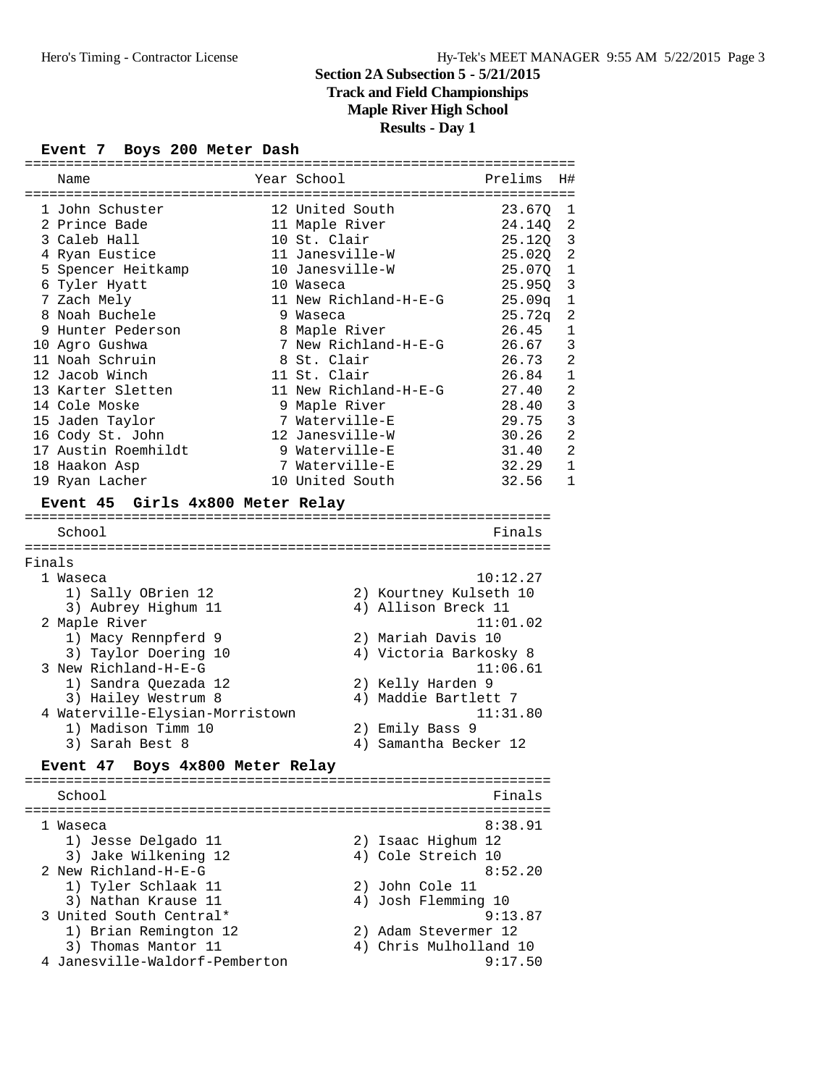# **Track and Field Championships**

**Maple River High School**

**Results - Day 1**

### **Event 7 Boys 200 Meter Dash**

|        | Name                             |  | Year School           |                        | Prelims            | H#             |
|--------|----------------------------------|--|-----------------------|------------------------|--------------------|----------------|
|        |                                  |  |                       |                        |                    |                |
|        | 1 John Schuster                  |  | 12 United South       |                        | 23.67Q             | 1              |
|        | 2 Prince Bade                    |  | 11 Maple River        |                        | 24.140             | $\overline{2}$ |
|        | 3 Caleb Hall                     |  | 10 St. Clair          |                        | 25.120             | 3              |
|        | 4 Ryan Eustice                   |  | 11 Janesville-W       |                        | 25.02Q             | $\overline{a}$ |
|        | 5 Spencer Heitkamp               |  | 10 Janesville-W       |                        | 25.07Q             | $\mathbf{1}$   |
|        | 6 Tyler Hyatt                    |  | 10 Waseca             |                        | 25.95Q             | 3              |
|        | 7 Zach Mely                      |  | 11 New Richland-H-E-G |                        | 25.09q             | 1              |
|        | 8 Noah Buchele                   |  | 9 Waseca              |                        | 25.72 <sub>q</sub> | $\overline{a}$ |
|        | 9 Hunter Pederson                |  | 8 Maple River         |                        | 26.45              | $\mathbf{1}$   |
|        |                                  |  |                       |                        | 26.67              | 3              |
|        | 10 Agro Gushwa                   |  | 7 New Richland-H-E-G  |                        |                    |                |
|        | 11 Noah Schruin                  |  | 8 St. Clair           |                        | 26.73              | $\overline{a}$ |
|        | 12 Jacob Winch                   |  | 11 St. Clair          |                        | 26.84              | $\mathbf{1}$   |
|        | 13 Karter Sletten                |  | 11 New Richland-H-E-G |                        | 27.40              | $\overline{a}$ |
|        | 14 Cole Moske                    |  | 9 Maple River         |                        | 28.40              | 3              |
|        | 15 Jaden Taylor                  |  | 7 Waterville-E        |                        | 29.75              | 3              |
|        | 16 Cody St. John                 |  | 12 Janesville-W       |                        | 30.26              | $\overline{2}$ |
|        | 17 Austin Roemhildt              |  | 9 Waterville-E        |                        | 31.40              | $\overline{2}$ |
|        | 18 Haakon Asp                    |  | 7 Waterville-E        |                        | 32.29              | 1              |
|        | 19 Ryan Lacher                   |  | 10 United South       |                        | 32.56              | 1              |
|        |                                  |  |                       |                        |                    |                |
|        | Event 45 Girls 4x800 Meter Relay |  |                       |                        |                    |                |
|        |                                  |  |                       |                        |                    |                |
|        | School                           |  |                       |                        | Finals             |                |
| Finals |                                  |  |                       |                        |                    |                |
|        | 1 Waseca                         |  |                       |                        | 10:12.27           |                |
|        |                                  |  |                       |                        |                    |                |
|        | 1) Sally OBrien 12               |  |                       | 2) Kourtney Kulseth 10 |                    |                |
|        | 3) Aubrey Highum 11              |  |                       | 4) Allison Breck 11    |                    |                |
|        | 2 Maple River                    |  |                       |                        | 11:01.02           |                |
|        | 1) Macy Rennpferd 9              |  |                       | 2) Mariah Davis 10     |                    |                |
|        | 3) Taylor Doering 10             |  |                       | 4) Victoria Barkosky 8 |                    |                |
|        | 3 New Richland-H-E-G             |  |                       |                        | 11:06.61           |                |
|        | 1) Sandra Quezada 12             |  |                       | 2) Kelly Harden 9      |                    |                |
|        | 3) Hailey Westrum 8              |  |                       | 4) Maddie Bartlett 7   |                    |                |
|        | 4 Waterville-Elysian-Morristown  |  |                       |                        | 11:31.80           |                |
|        | 1) Madison Timm 10               |  |                       | 2) Emily Bass 9        |                    |                |
|        | 3) Sarah Best 8                  |  |                       | 4) Samantha Becker 12  |                    |                |
|        |                                  |  |                       |                        |                    |                |
|        | Event 47 Boys 4x800 Meter Relay  |  |                       |                        |                    |                |
|        | School                           |  |                       |                        | Finals             |                |
|        |                                  |  |                       |                        |                    |                |
|        | l Waseca                         |  |                       |                        | 8:38.91            |                |
|        | 1) Jesse Delgado 11              |  |                       | 2) Isaac Highum 12     |                    |                |
|        | 3) Jake Wilkening 12             |  |                       | 4) Cole Streich 10     |                    |                |
|        | 2 New Richland-H-E-G             |  |                       |                        | 8:52.20            |                |
|        | 1) Tyler Schlaak 11              |  |                       | 2) John Cole 11        |                    |                |
|        | 3) Nathan Krause 11              |  |                       | 4) Josh Flemming 10    |                    |                |
|        | 3 United South Central*          |  |                       |                        | 9:13.87            |                |
|        | 1) Brian Remington 12            |  |                       | 2) Adam Stevermer 12   |                    |                |
|        |                                  |  |                       |                        |                    |                |
|        | 3) Thomas Mantor 11              |  |                       | 4) Chris Mulholland 10 |                    |                |
|        | 4 Janesville-Waldorf-Pemberton   |  |                       |                        | 9:17.50            |                |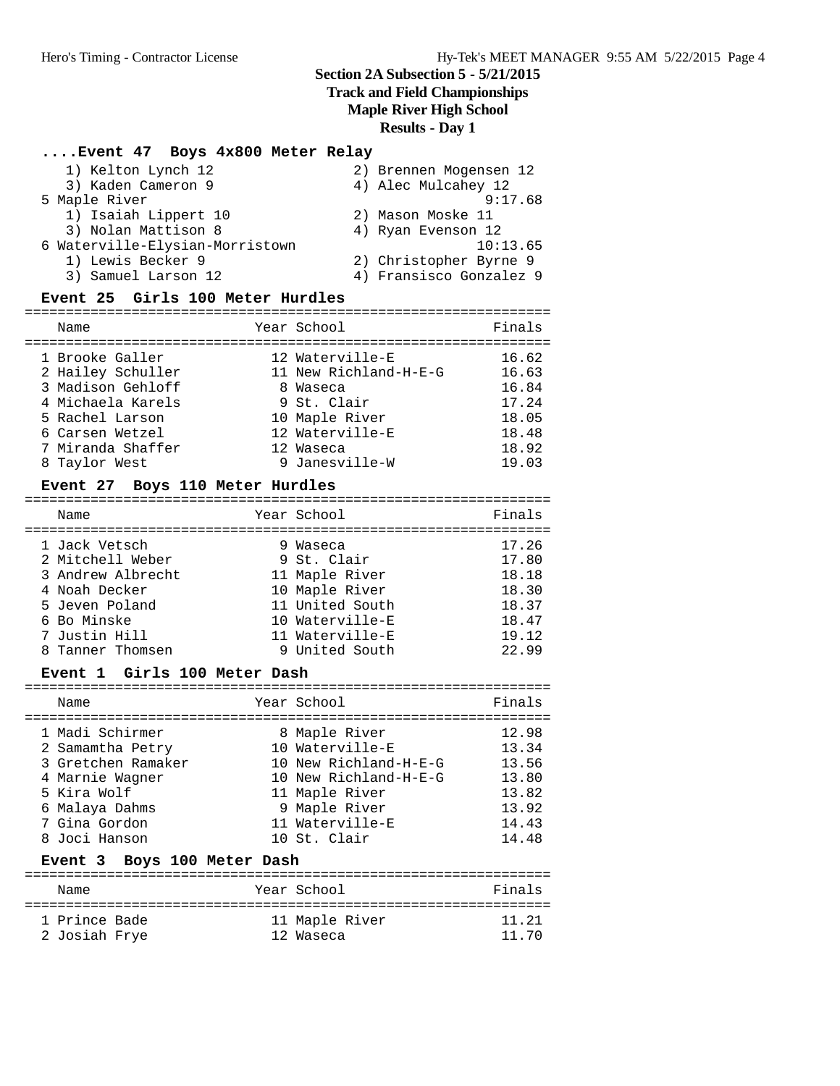## **Track and Field Championships**

**Maple River High School**

**Results - Day 1**

# **....Event 47 Boys 4x800 Meter Relay**

| 1) Kelton Lynch 12              | 2) Brennen Mogensen 12  |
|---------------------------------|-------------------------|
| 3) Kaden Cameron 9              | 4) Alec Mulcahey 12     |
| 5 Maple River                   | 9:17.68                 |
| 1) Isaiah Lippert 10            | 2) Mason Moske 11       |
| 3) Nolan Mattison 8             | 4) Ryan Evenson 12      |
| 6 Waterville-Elysian-Morristown | 10:13.65                |
| 1) Lewis Becker 9               | 2) Christopher Byrne 9  |
| 3) Samuel Larson 12             | 4) Fransisco Gonzalez 9 |
|                                 |                         |

### **Event 25 Girls 100 Meter Hurdles**

| Name                                                                                              | Year School                                                                           | Finals                                    |
|---------------------------------------------------------------------------------------------------|---------------------------------------------------------------------------------------|-------------------------------------------|
| 1 Brooke Galler<br>2 Hailey Schuller<br>3 Madison Gehloff<br>4 Michaela Karels<br>5 Rachel Larson | 12 Waterville-E<br>11 New Richland-H-E-G<br>8 Waseca<br>9 St. Clair<br>10 Maple River | 16.62<br>16.63<br>16.84<br>17.24<br>18.05 |
| 6 Carsen Wetzel<br>7 Miranda Shaffer<br>8 Taylor West                                             | 12 Waterville-E<br>12 Waseca<br>9 Janesville-W                                        | 18.48<br>18.92<br>19.03                   |

### **Event 27 Boys 110 Meter Hurdles**

| Name                                                                                                                      | Year School                                                                                                          | Finals                                                      |
|---------------------------------------------------------------------------------------------------------------------------|----------------------------------------------------------------------------------------------------------------------|-------------------------------------------------------------|
| 1 Jack Vetsch<br>2 Mitchell Weber<br>3 Andrew Albrecht<br>4 Noah Decker<br>5 Jeven Poland<br>6 Bo Minske<br>7 Justin Hill | 9 Waseca<br>9 St. Clair<br>11 Maple River<br>10 Maple River<br>11 United South<br>10 Waterville-E<br>11 Waterville-E | 17.26<br>17.80<br>18.18<br>18.30<br>18.37<br>18.47<br>19.12 |
| 8 Tanner Thomsen                                                                                                          | 9 United South                                                                                                       | 22.99                                                       |

### **Event 1 Girls 100 Meter Dash**

| Name                                                                                                                                            |                             | Year School                                                                                                                                              | Finals                                                               |  |  |
|-------------------------------------------------------------------------------------------------------------------------------------------------|-----------------------------|----------------------------------------------------------------------------------------------------------------------------------------------------------|----------------------------------------------------------------------|--|--|
| 1 Madi Schirmer<br>2 Samamtha Petry<br>3 Gretchen Ramaker<br>4 Marnie Wagner<br>5 Kira Wolf<br>6 Malaya Dahms<br>7 Gina Gordon<br>8 Joci Hanson |                             | 8 Maple River<br>10 Waterville-E<br>10 New Richland-H-E-G<br>10 New Richland-H-E-G<br>11 Maple River<br>9 Maple River<br>11 Waterville-E<br>10 St. Clair | 12.98<br>13.34<br>13.56<br>13.80<br>13.82<br>13.92<br>14.43<br>14.48 |  |  |
|                                                                                                                                                 | Event 3 Boys 100 Meter Dash |                                                                                                                                                          |                                                                      |  |  |
| Name                                                                                                                                            |                             | Year School                                                                                                                                              | Finals                                                               |  |  |
| 1 Prince Bade<br>2 Josiah Frye                                                                                                                  |                             | 11 Maple River<br>12 Waseca                                                                                                                              | 11.21<br>1170                                                        |  |  |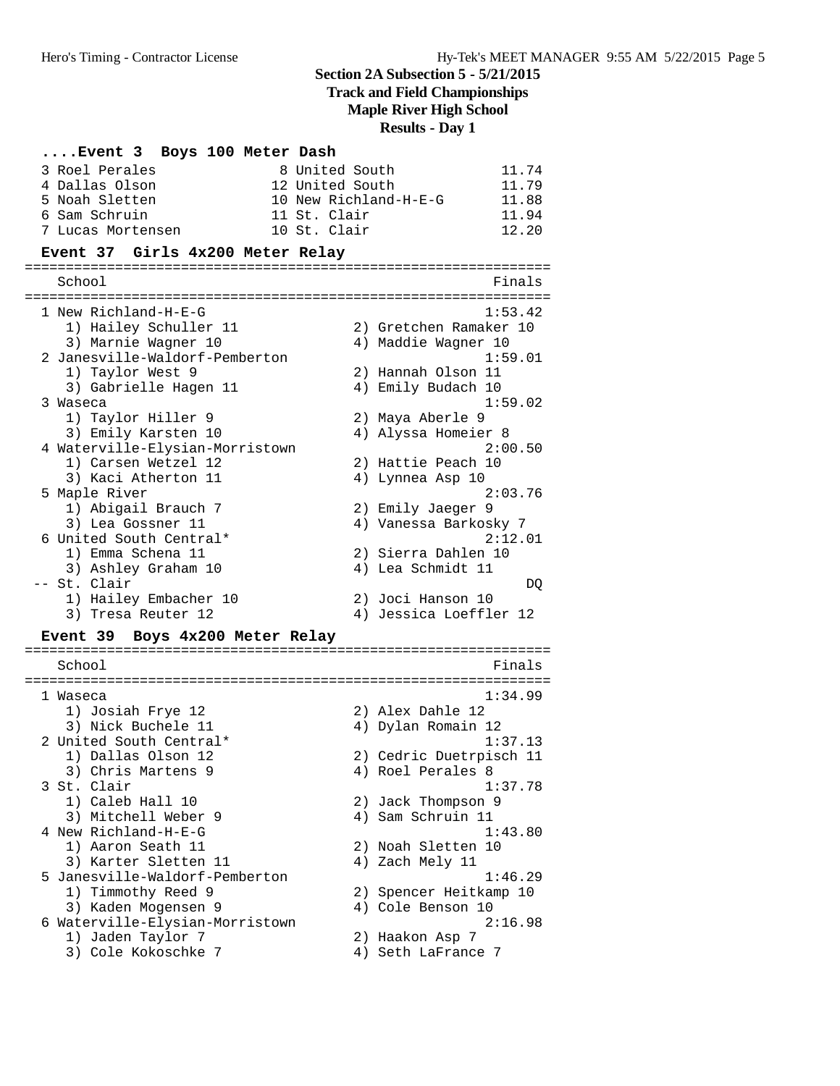**Track and Field Championships**

**Maple River High School**

**Results - Day 1**

# **....Event 3 Boys 100 Meter Dash**

| 8 United South<br>3 Roel Perales          | 11.74                                   |
|-------------------------------------------|-----------------------------------------|
| 12 United South<br>4 Dallas Olson         | 11.79                                   |
| 5 Noah Sletten                            | 10 New Richland-H-E-G<br>11.88          |
| 6 Sam Schruin<br>11 St. Clair             | 11.94                                   |
| 10 St. Clair<br>7 Lucas Mortensen         | 12.20                                   |
| Event 37 Girls 4x200 Meter Relay          |                                         |
| School                                    | Finals                                  |
|                                           |                                         |
| 1 New Richland-H-E-G                      | 1:53.42                                 |
| 1) Hailey Schuller 11                     | 2) Gretchen Ramaker 10                  |
| 3) Marnie Wagner 10                       | 4) Maddie Wagner 10                     |
| 2 Janesville-Waldorf-Pemberton            | 1:59.01                                 |
| 1) Taylor West 9                          | 2) Hannah Olson 11                      |
| 3) Gabrielle Hagen 11                     | 4) Emily Budach 10                      |
| 3 Waseca                                  | 1:59.02                                 |
| 1) Taylor Hiller 9<br>3) Emily Karsten 10 | 2) Maya Aberle 9<br>4) Alyssa Homeier 8 |
| 4 Waterville-Elysian-Morristown           | 2:00.50                                 |
| 1) Carsen Wetzel 12                       | 2) Hattie Peach 10                      |
| 3) Kaci Atherton 11                       | 4) Lynnea Asp 10                        |
| 5 Maple River                             | 2:03.76                                 |
| 1) Abigail Brauch 7                       | 2) Emily Jaeger 9                       |
| 3) Lea Gossner 11                         | 4) Vanessa Barkosky 7                   |
| 6 United South Central*                   | 2:12.01                                 |
| 1) Emma Schena 11                         | 2) Sierra Dahlen 10                     |
| 3) Ashley Graham 10                       | 4) Lea Schmidt 11                       |
| -- St. Clair                              | DQ                                      |
| 1) Hailey Embacher 10                     | 2) Joci Hanson 10                       |
| 3) Tresa Reuter 12                        | 4) Jessica Loeffler 12                  |
| Event 39 Boys 4x200 Meter Relay           |                                         |
| School                                    | Finals                                  |
|                                           |                                         |
| 1 Waseca                                  | 1:34.99<br>2) Alex Dahle 12             |
| 1) Josiah Frye 12<br>3) Nick Buchele 11   | 4) Dylan Romain 12                      |
| 2 United South Central*                   | 1:37.13                                 |
| 1) Dallas Olson 12                        | 2) Cedric Duetrpisch 11                 |
|                                           |                                         |
|                                           |                                         |
| 3) Chris Martens 9                        | 4) Roel Perales 8                       |
| 3 St. Clair                               | 1:37.78                                 |
| 1) Caleb Hall 10<br>3) Mitchell Weber 9   | 2) Jack Thompson 9<br>4) Sam Schruin 11 |
| 4 New Richland-H-E-G                      | 1:43.80                                 |
| 1) Aaron Seath 11                         | 2) Noah Sletten 10                      |
| 3) Karter Sletten 11                      | 4) Zach Mely 11                         |
| 5 Janesville-Waldorf-Pemberton            | 1:46.29                                 |
| 1) Timmothy Reed 9                        | 2) Spencer Heitkamp 10                  |
| 3) Kaden Mogensen 9                       | 4) Cole Benson 10                       |
| 6 Waterville-Elysian-Morristown           | 2:16.98                                 |
| 1) Jaden Taylor 7<br>3) Cole Kokoschke 7  | 2) Haakon Asp 7<br>4) Seth LaFrance 7   |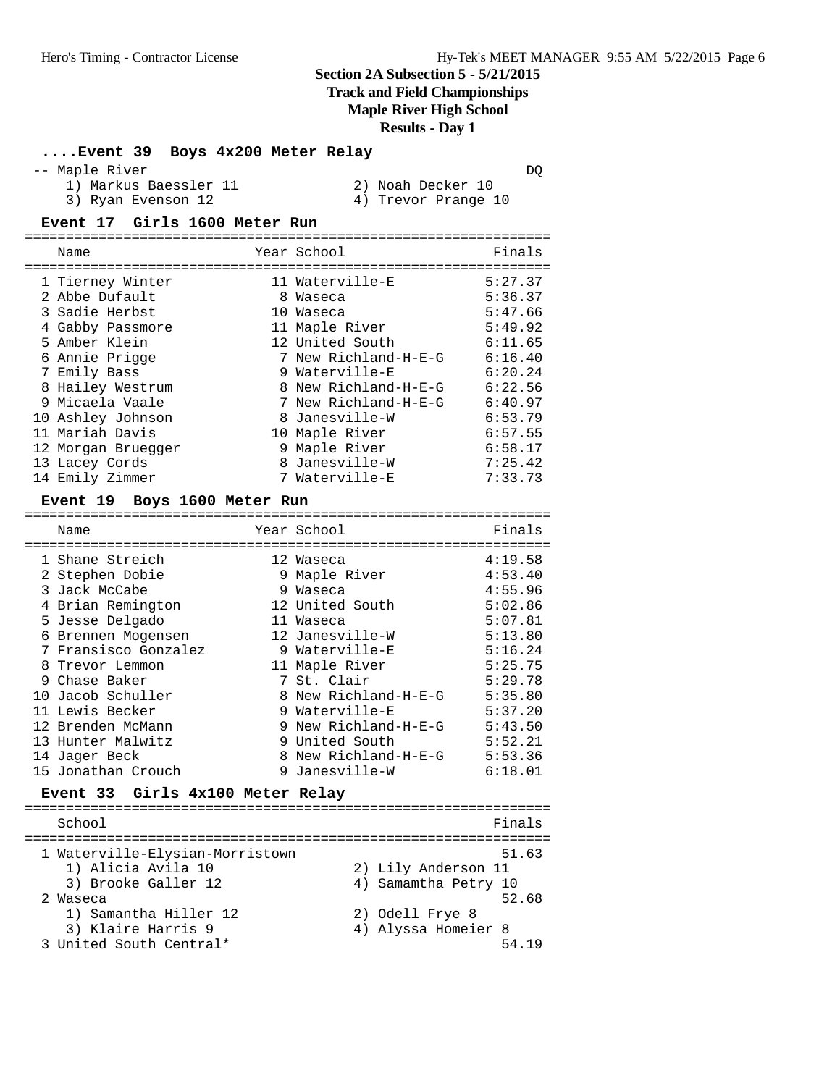**Track and Field Championships**

### **Maple River High School**

**Results - Day 1**

### **....Event 39 Boys 4x200 Meter Relay**

#### -- Maple River DQ

- 1) Markus Baessler 11 120 20 Noah Decker 10
- 3) Ryan Evenson 12 4) Trevor Prange 10
- 

### **Event 17 Girls 1600 Meter Run**

| Name               | Year School          | Finals  |
|--------------------|----------------------|---------|
| 1 Tierney Winter   | 11 Waterville-E      | 5:27.37 |
| 2 Abbe Dufault     | 8 Waseca             | 5:36.37 |
| 3 Sadie Herbst     | 10 Waseca            | 5:47.66 |
| 4 Gabby Passmore   | 11 Maple River       | 5:49.92 |
| 5 Amber Klein      | 12 United South      | 6:11.65 |
| 6 Annie Prigge     | 7 New Richland-H-E-G | 6:16.40 |
| 7 Emily Bass       | 9 Waterville-E       | 6:20.24 |
| 8 Hailey Westrum   | 8 New Richland-H-E-G | 6:22.56 |
| 9 Micaela Vaale    | 7 New Richland-H-E-G | 6:40.97 |
| 10 Ashley Johnson  | 8 Janesville-W       | 6:53.79 |
| 11 Mariah Davis    | 10 Maple River       | 6:57.55 |
| 12 Morgan Bruegger | 9 Maple River        | 6:58.17 |
| 13 Lacey Cords     | 8 Janesville-W       | 7:25.42 |
| 14 Emily Zimmer    | 7 Waterville-E       | 7:33.73 |

#### **Event 19 Boys 1600 Meter Run**

| Name                 | Year School          | Finals  |
|----------------------|----------------------|---------|
| 1 Shane Streich      | 12 Waseca            | 4:19.58 |
| 2 Stephen Dobie      | 9 Maple River        | 4:53.40 |
| 3 Jack McCabe        | 9 Waseca             | 4:55.96 |
| 4 Brian Remington    | 12 United South      | 5:02.86 |
| 5 Jesse Delgado      | 11 Waseca            | 5:07.81 |
| 6 Brennen Mogensen   | 12 Janesville-W      | 5:13.80 |
| 7 Fransisco Gonzalez | 9 Waterville-E       | 5:16.24 |
| 8 Trevor Lemmon      | 11 Maple River       | 5:25.75 |
| 9 Chase Baker        | 7 St. Clair          | 5:29.78 |
| 10 Jacob Schuller    | 8 New Richland-H-E-G | 5:35.80 |
| 11 Lewis Becker      | 9 Waterville-E       | 5:37.20 |
| 12 Brenden McMann    | 9 New Richland-H-E-G | 5:43.50 |
| 13 Hunter Malwitz    | 9 United South       | 5:52.21 |
| 14 Jaqer Beck        | 8 New Richland-H-E-G | 5:53.36 |
| 15 Jonathan Crouch   | 9 Janesville-W       | 6:18.01 |

# **Event 33 Girls 4x100 Meter Relay**

| School                                                |                                        | Finals |
|-------------------------------------------------------|----------------------------------------|--------|
| 1 Waterville-Elysian-Morristown<br>1) Alicia Avila 10 | 2) Lily Anderson 11                    | 51.63  |
| 3) Brooke Galler 12<br>2 Waseca                       | 4) Samamtha Petry 10                   | 52.68  |
| 1) Samantha Hiller 12<br>3) Klaire Harris 9           | 2) Odell Frye 8<br>4) Alyssa Homeier 8 |        |
| 3 United South Central*                               |                                        | 54 19  |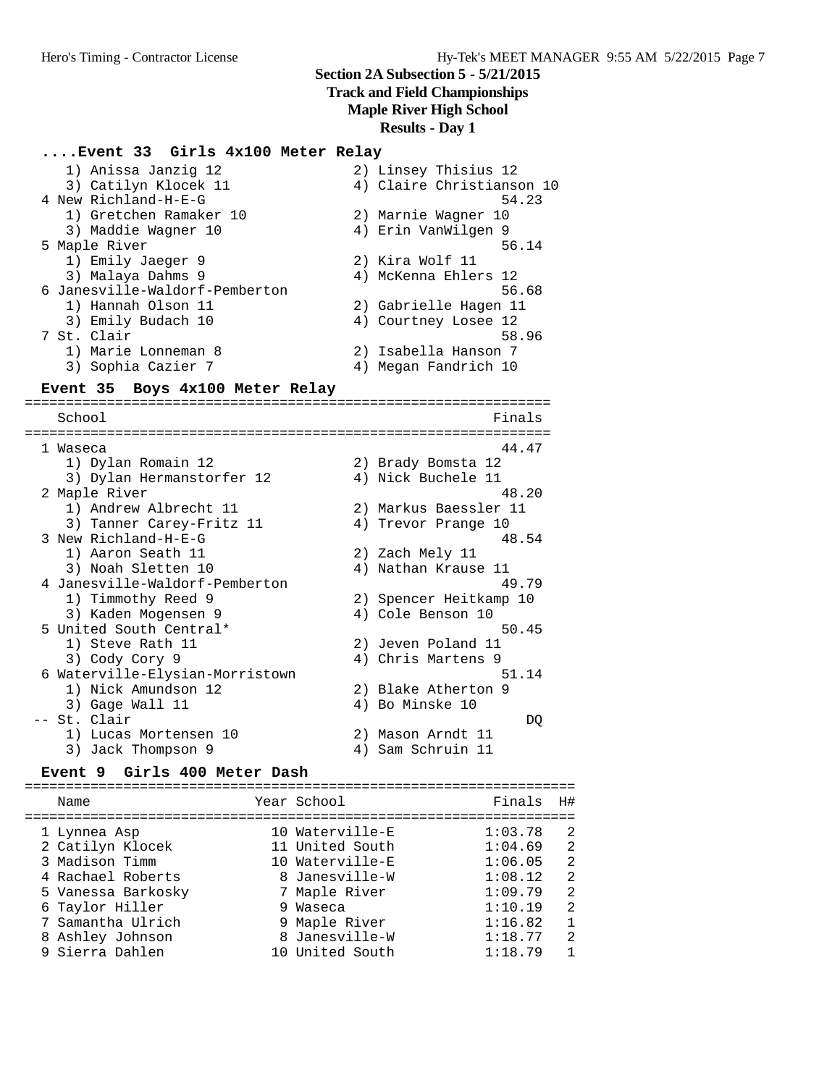# **Track and Field Championships**

**Maple River High School**

**Results - Day 1**

# **....Event 33 Girls 4x100 Meter Relay**

| 1) Anissa Janzig 12                |    | 2) Linsey Thisius 12      |
|------------------------------------|----|---------------------------|
| 3) Catilyn Klocek 11               |    | 4) Claire Christianson 10 |
| 4 New Richland-H-E-G               |    | 54.23                     |
| 1) Gretchen Ramaker 10             |    | 2) Marnie Wagner 10       |
| 3) Maddie Wagner 10                |    | 4) Erin VanWilgen 9       |
| 5 Maple River                      |    | 56.14                     |
| 1) Emily Jaeger 9                  |    | 2) Kira Wolf 11           |
| 3) Malaya Dahms 9                  |    | 4) McKenna Ehlers 12      |
| 6 Janesville-Waldorf-Pemberton     |    | 56.68                     |
| 1) Hannah Olson 11                 |    | 2) Gabrielle Hagen 11     |
| 3) Emily Budach 10                 |    | 4) Courtney Losee 12      |
| 7 St. Clair                        |    | 58.96                     |
| 1) Marie Lonneman 8                |    | 2) Isabella Hanson 7      |
| 3) Sophia Cazier 7                 |    | 4) Megan Fandrich 10      |
| Event 35<br>Boys 4x100 Meter Relay |    |                           |
|                                    |    |                           |
| School                             |    | Finals                    |
|                                    |    |                           |
| 1 Waseca                           |    | 44.47                     |
| 1) Dylan Romain 12                 |    | 2) Brady Bomsta 12        |
| 3) Dylan Hermanstorfer 12          |    | 4) Nick Buchele 11        |
| 2 Maple River                      |    | 48.20                     |
| 1) Andrew Albrecht 11              |    | 2) Markus Baessler 11     |
| 3) Tanner Carey-Fritz 11           |    | 4) Trevor Prange 10       |
| 3 New Richland-H-E-G               |    | 48.54                     |
| 1) Aaron Seath 11                  |    | 2) Zach Mely 11           |
| 3) Noah Sletten 10                 |    | 4) Nathan Krause 11       |
| 4 Janesville-Waldorf-Pemberton     |    | 49.79                     |
| 1) Timmothy Reed 9                 |    | 2) Spencer Heitkamp 10    |
| 3) Kaden Mogensen 9                |    | 4) Cole Benson 10         |
| 5 United South Central*            |    | 50.45                     |
| 1) Steve Rath 11                   |    | 2) Jeven Poland 11        |
| 3) Cody Cory 9                     |    | 4) Chris Martens 9        |
| 6 Waterville-Elysian-Morristown    |    | 51.14                     |
| 1) Nick Amundson 12                |    | 2) Blake Atherton 9       |
| 3) Gage Wall 11                    |    | 4) Bo Minske 10           |
| -- St. Clair                       |    | DQ                        |
| 1) Lucas Mortensen 10              |    | 2) Mason Arndt 11         |
| 3) Jack Thompson 9                 | 4) | Sam Schruin 11            |

#### **Event 9 Girls 400 Meter Dash**

=================================================================== Name **Name** Year School **Finals H#** =================================================================== 1 Lynnea Asp 10 Waterville-E 1:03.78 2 2 Catilyn Klocek 11 United South 1:04.69 2 3 Madison Timm 10 Waterville-E 1:06.05 2 4 Rachael Roberts 8 Janesville-W 1:08.12 2 5 Vanessa Barkosky 7 Maple River 1:09.79 2 6 Taylor Hiller 9 Waseca 1:10.19 2 7 Samantha Ulrich 9 Maple River 1:16.82 1 8 Ashley Johnson 8 Janesville-W 1:18.77 2 9 Sierra Dahlen 10 United South 1:18.79 1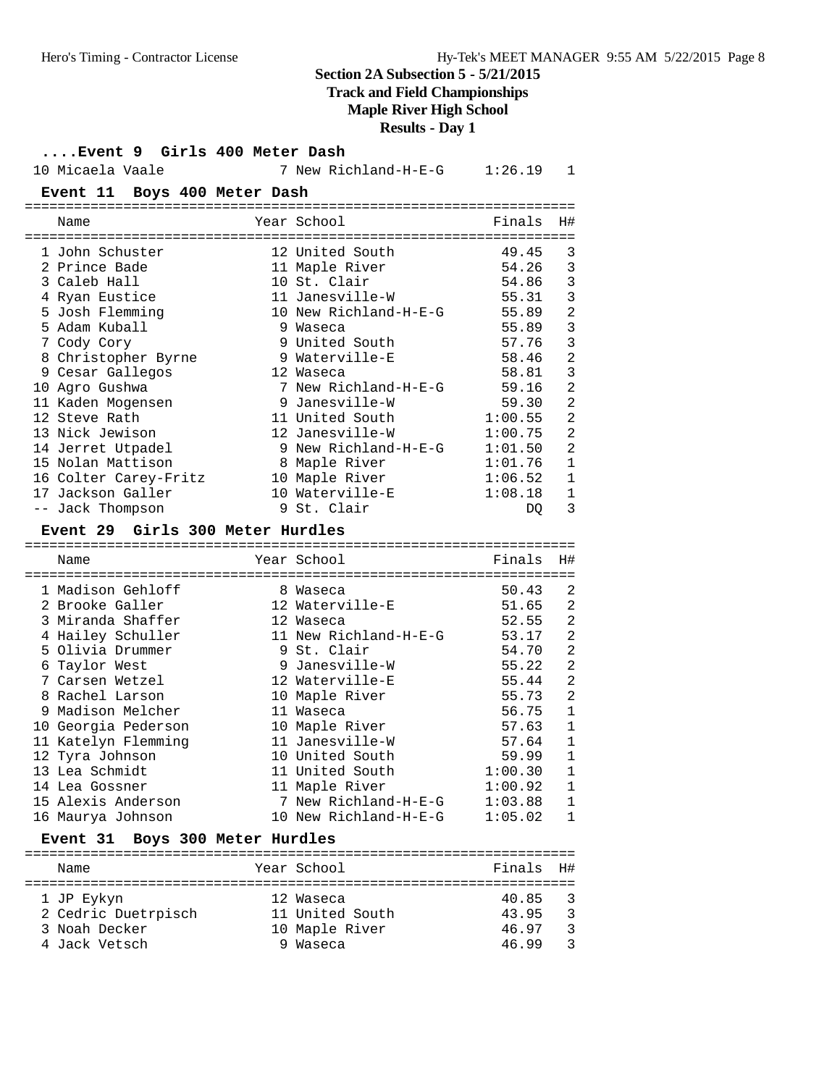# **Track and Field Championships**

# **Maple River High School**

**Results - Day 1**

# **....Event 9 Girls 400 Meter Dash**

| 10 Micaela Vaale                    |                             | 7 New Richland-H-E-G $1:26.19$ |         | 1              |
|-------------------------------------|-----------------------------|--------------------------------|---------|----------------|
| Event 11 Boys 400 Meter Dash        |                             |                                |         |                |
| Name                                |                             | Year School                    | Finals  | H#             |
| 1 John Schuster                     |                             | 12 United South                | 49.45   | 3              |
| 2 Prince Bade                       |                             | 11 Maple River                 | 54.26   | 3              |
| 3 Caleb Hall                        |                             | 10 St. Clair                   | 54.86   | 3              |
| 4 Ryan Eustice                      |                             | 11 Janesville-W                | 55.31   | 3              |
| 5 Josh Flemming                     |                             | 10 New Richland-H-E-G          | 55.89   | $\overline{a}$ |
| 5 Adam Kuball                       |                             | 9 Waseca                       | 55.89   | 3              |
| 7 Cody Cory                         |                             | 9 United South                 | 57.76   | 3              |
| 8 Christopher Byrne                 |                             | 9 Waterville-E                 | 58.46   | $\overline{a}$ |
| 9 Cesar Gallegos                    |                             | 12 Waseca                      | 58.81   | $\overline{3}$ |
| 10 Agro Gushwa                      |                             | 7 New Richland-H-E-G           | 59.16   | $\overline{2}$ |
| 11 Kaden Mogensen                   |                             | 9 Janesville-W                 | 59.30   | $\overline{2}$ |
| 12 Steve Rath                       |                             | 11 United South                | 1:00.55 | $\overline{2}$ |
| 13 Nick Jewison                     |                             | 12 Janesville-W                | 1:00.75 | $\overline{2}$ |
| 14 Jerret Utpadel                   |                             | 9 New Richland-H-E-G           | 1:01.50 | $\overline{2}$ |
| 15 Nolan Mattison                   |                             | 8 Maple River                  | 1:01.76 | 1              |
| 16 Colter Carey-Fritz               |                             | 10 Maple River                 | 1:06.52 | $\mathbf{1}$   |
| 17 Jackson Galler                   |                             | 10 Waterville-E                | 1:08.18 | $\mathbf{1}$   |
| -- Jack Thompson                    |                             | 9 St. Clair                    | DO.     | 3              |
| Event 29 Girls 300 Meter Hurdles    |                             |                                |         |                |
| Name                                |                             | Year School                    | Finals  | H#             |
| 1 Madison Gehloff                   |                             | 8 Waseca                       | 50.43   | 2              |
| 2 Brooke Galler                     |                             | 12 Waterville-E                | 51.65   | 2              |
| 3 Miranda Shaffer                   |                             | 12 Waseca                      | 52.55   | $\overline{2}$ |
| 4 Hailey Schuller                   |                             | 11 New Richland-H-E-G          | 53.17   | $\overline{a}$ |
| 5 Olivia Drummer                    |                             | 9 St. Clair                    | 54.70   | $\overline{2}$ |
| 6 Taylor West                       |                             | 9 Janesville-W                 | 55.22   | $\overline{2}$ |
| 7 Carsen Wetzel                     |                             | 12 Waterville-E                | 55.44   | $\overline{2}$ |
| 8 Rachel Larson                     |                             | 10 Maple River                 | 55.73   | $\overline{2}$ |
| 9 Madison Melcher                   |                             | 11 Waseca                      | 56.75   | $\mathbf 1$    |
| 10 Georgia Pederson                 |                             | 10 Maple River                 | 57.63   | $\mathbf{1}$   |
| 11 Katelyn Flemming                 |                             | 11 Janesville-W                | 57.64   | $\mathbf{1}$   |
| 12 Tyra Johnson                     |                             | 10 United South                | 59.99   | $\mathbf{1}$   |
| 13 Lea Schmidt                      |                             | 11 United South                | 1:00.30 | 1              |
| 14 Lea Gossner                      |                             | 11 Maple River                 | 1:00.92 | 1              |
| 15 Alexis Anderson                  |                             | 7 New Richland-H-E-G           | 1:03.88 | $\mathbf 1$    |
| 16 Maurya Johnson                   |                             | 10 New Richland-H-E-G          | 1:05.02 | $\mathbf{1}$   |
| . 21. 23<br>$. 200 \text{ m}$<br>m. | $T$ , $T$ , $T$ , $T$ , $T$ | - 55 -                         |         |                |

#### **Event 31 Boys 300 Meter Hurdles**

| Name                |  | Year School     | Finals H# |               |  |  |  |  |
|---------------------|--|-----------------|-----------|---------------|--|--|--|--|
|                     |  |                 |           |               |  |  |  |  |
| 1 JP Eykyn          |  | 12 Waseca       | 40.85     | $\mathcal{R}$ |  |  |  |  |
| 2 Cedric Duetrpisch |  | 11 United South | 43.95     | $\mathcal{R}$ |  |  |  |  |
| 3 Noah Decker       |  | 10 Maple River  | 46.97     | ्र            |  |  |  |  |
| 4 Jack Vetsch       |  | 9 Waseca        | 46.99     | ्र            |  |  |  |  |
|                     |  |                 |           |               |  |  |  |  |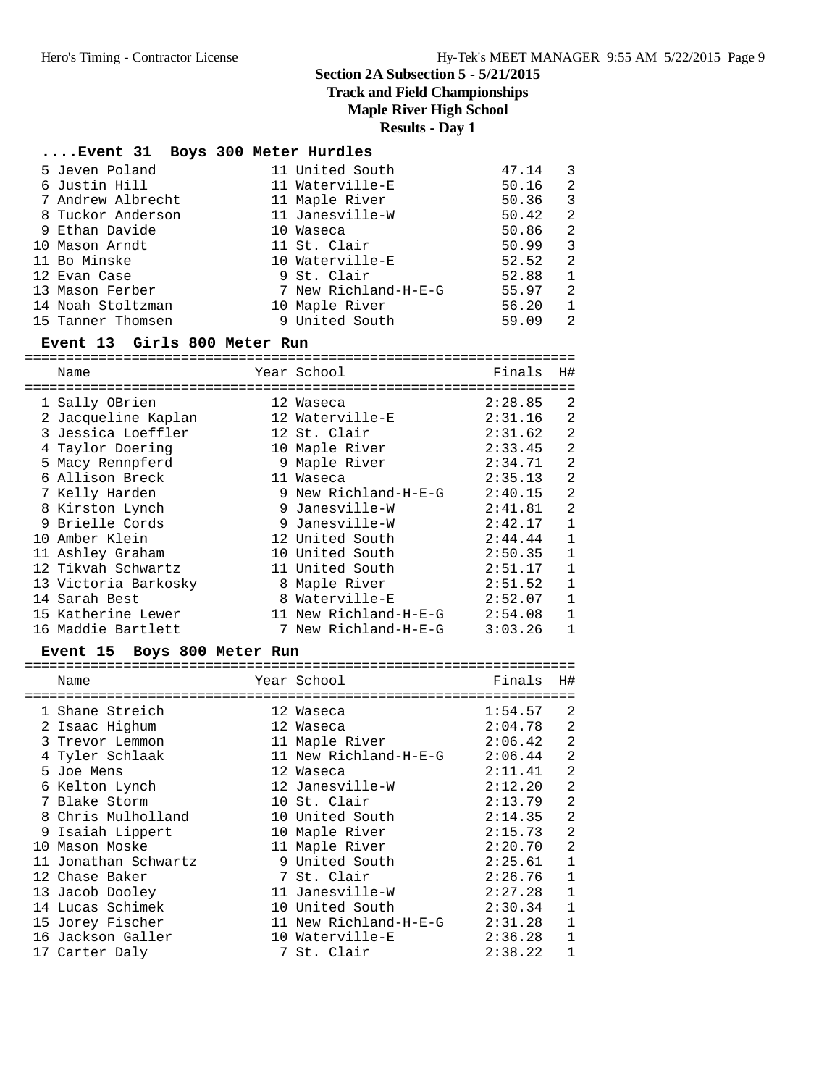**Track and Field Championships**

### **Maple River High School**

**Results - Day 1**

# **....Event 31 Boys 300 Meter Hurdles**

|  | 5 Jeven Poland    | 11 United South      | 47.14 | 3  |
|--|-------------------|----------------------|-------|----|
|  | 6 Justin Hill     | 11 Waterville-E      | 50.16 | 2  |
|  | 7 Andrew Albrecht | 11 Maple River       | 50.36 | 3  |
|  | 8 Tuckor Anderson | 11 Janesville-W      | 50.42 | -2 |
|  | 9 Ethan Davide    | 10 Waseca            | 50.86 | -2 |
|  | 10 Mason Arndt    | 11 St. Clair         | 50.99 | 3  |
|  | 11 Bo Minske      | 10 Waterville-E      | 52.52 | -2 |
|  | 12 Evan Case      | 9 St. Clair          | 52.88 | 1  |
|  | 13 Mason Ferber   | 7 New Richland-H-E-G | 55.97 | 2  |
|  | 14 Noah Stoltzman | 10 Maple River       | 56.20 | 1  |
|  | 15 Tanner Thomsen | 9 United South       | 59.09 | -2 |
|  |                   |                      |       |    |

#### **Event 13 Girls 800 Meter Run**

| Name                 |   | Year School           | Finals  | Η#             |
|----------------------|---|-----------------------|---------|----------------|
|                      |   |                       |         |                |
| 1 Sally OBrien       |   | 12 Waseca             | 2:28.85 | 2              |
| 2 Jacqueline Kaplan  |   | 12 Waterville-E       | 2:31.16 | 2              |
| 3 Jessica Loeffler   |   | 12 St. Clair          | 2:31.62 | 2              |
| 4 Taylor Doering     |   | 10 Maple River        | 2:33.45 | $\mathfrak{D}$ |
| 5 Macy Rennpferd     |   | 9 Maple River         | 2:34.71 | $\overline{2}$ |
| 6 Allison Breck      |   | 11 Waseca             | 2:35.13 | $\overline{2}$ |
| 7 Kelly Harden       |   | 9 New Richland-H-E-G  | 2:40.15 | $\overline{2}$ |
| 8 Kirston Lynch      |   | 9 Janesville-W        | 2:41.81 | 2              |
| 9 Brielle Cords      |   | 9 Janesville-W        | 2:42.17 | 1              |
| 10 Amber Klein       |   | 12 United South       | 2:44.44 | 1              |
| 11 Ashley Graham     |   | 10 United South       | 2:50.35 | 1              |
| 12 Tikvah Schwartz   |   | 11 United South       | 2:51.17 | 1              |
| 13 Victoria Barkosky | 8 | Maple River           | 2:51.52 | 1              |
| 14 Sarah Best        | 8 | Waterville-E          | 2:52.07 | 1              |
| 15 Katherine Lewer   |   | 11 New Richland-H-E-G | 2:54.08 |                |
| 16 Maddie Bartlett   |   | 7 New Richland-H-E-G  | 3:03.26 | 1              |

### **Event 15 Boys 800 Meter Run**

| Name                 | Year School           | Finals  | H#             |
|----------------------|-----------------------|---------|----------------|
| 1 Shane Streich      | 12 Waseca             | 1:54.57 | -2             |
| 2 Isaac Highum       | 12 Waseca             | 2:04.78 | 2              |
| 3 Trevor Lemmon      | 11 Maple River        | 2:06.42 | $\overline{2}$ |
| 4 Tyler Schlaak      | 11 New Richland-H-E-G | 2:06.44 | $\overline{2}$ |
| 5 Joe Mens           | 12 Waseca             | 2:11.41 | 2              |
| 6 Kelton Lynch       | 12 Janesville-W       | 2:12.20 | $\overline{2}$ |
| 7 Blake Storm        | 10 St. Clair          | 2:13.79 | $\overline{2}$ |
| 8 Chris Mulholland   | 10 United South       | 2:14.35 | $\overline{2}$ |
| 9 Isaiah Lippert     | 10 Maple River        | 2:15.73 | $\overline{2}$ |
| 10 Mason Moske       | 11 Maple River        | 2:20.70 | 2              |
| 11 Jonathan Schwartz | 9 United South        | 2:25.61 | $\mathbf 1$    |
| 12 Chase Baker       | 7 St. Clair           | 2:26.76 | $\mathbf 1$    |
| 13 Jacob Dooley      | 11 Janesville-W       | 2:27.28 | $\mathbf{1}$   |
| 14 Lucas Schimek     | 10 United South       | 2:30.34 | $\mathbf{1}$   |
| 15 Jorey Fischer     | 11 New Richland-H-E-G | 2:31.28 | $\mathbf{1}$   |
| 16 Jackson Galler    | 10 Waterville-E       | 2:36.28 | $\mathbf{1}$   |
| 17 Carter Daly       | 7 St. Clair           | 2:38.22 | $\mathbf{1}$   |
|                      |                       |         |                |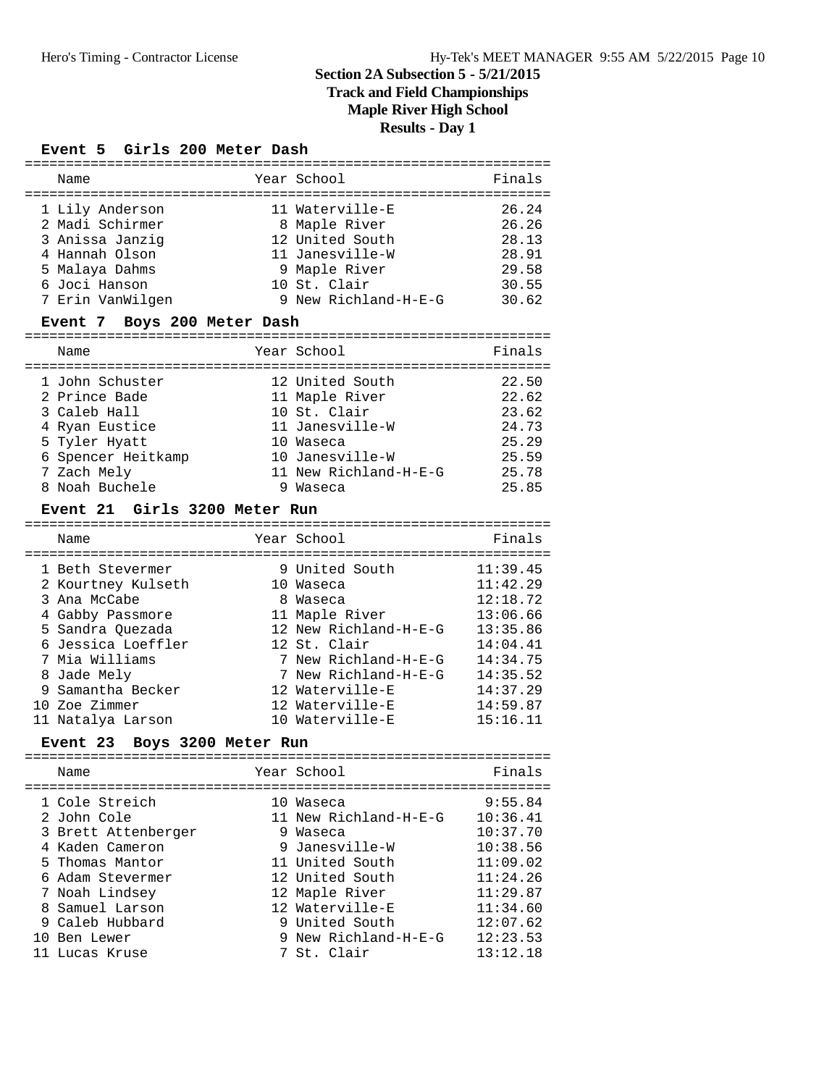## **Track and Field Championships**

**Maple River High School**

**Results - Day 1**

### **Event 5 Girls 200 Meter Dash**

| Name             | Year School          | Finals |
|------------------|----------------------|--------|
| 1 Lily Anderson  | 11 Waterville-E      | 26.24  |
| 2 Madi Schirmer  | 8 Maple River        | 26.26  |
| 3 Anissa Janziq  | 12 United South      | 28.13  |
| 4 Hannah Olson   | 11 Janesville-W      | 28.91  |
| 5 Malaya Dahms   | 9 Maple River        | 29.58  |
| 6 Joci Hanson    | 10 St. Clair         | 30.55  |
| 7 Erin VanWilgen | 9 New Richland-H-E-G | 30.62  |

### **Event 7 Boys 200 Meter Dash**

| Name               |   | Year School           | Finals |
|--------------------|---|-----------------------|--------|
| 1 John Schuster    |   | 12 United South       | 22.50  |
| 2 Prince Bade      |   | 11 Maple River        | 22.62  |
| 3 Caleb Hall       |   | 10 St. Clair          | 23.62  |
| 4 Ryan Eustice     |   | 11 Janesville-W       | 24.73  |
| 5 Tyler Hyatt      |   | 10 Waseca             | 25.29  |
| 6 Spencer Heitkamp |   | 10 Janesville-W       | 25.59  |
| 7 Zach Mely        |   | 11 New Richland-H-E-G | 25.78  |
| 8 Noah Buchele     | 9 | Waseca                | 25.85  |

### **Event 21 Girls 3200 Meter Run**

| Name               | Year School           | Finals   |
|--------------------|-----------------------|----------|
|                    |                       |          |
| 1 Beth Stevermer   | 9 United South        | 11:39.45 |
| 2 Kourtney Kulseth | 10 Waseca             | 11:42.29 |
| 3 Ana McCabe       | 8 Waseca              | 12:18.72 |
| 4 Gabby Passmore   | 11 Maple River        | 13:06.66 |
| 5 Sandra Ouezada   | 12 New Richland-H-E-G | 13:35.86 |
| 6 Jessica Loeffler | 12 St. Clair          | 14:04.41 |
| 7 Mia Williams     | 7 New Richland-H-E-G  | 14:34.75 |
| 8 Jade Mely        | 7 New Richland-H-E-G  | 14:35.52 |
| 9 Samantha Becker  | 12 Waterville-E       | 14:37.29 |
| 10 Zoe Zimmer      | 12 Waterville-E       | 14:59.87 |
| 11 Natalya Larson  | 10 Waterville-E       | 15:16.11 |

# **Event 23 Boys 3200 Meter Run** ================================================================

| Name                                                                                                                                                                                                     | Year School                                                                                                                                                                                          | Finals                                                                                                                          |
|----------------------------------------------------------------------------------------------------------------------------------------------------------------------------------------------------------|------------------------------------------------------------------------------------------------------------------------------------------------------------------------------------------------------|---------------------------------------------------------------------------------------------------------------------------------|
| 1 Cole Streich<br>2 John Cole<br>3 Brett Attenberger<br>4 Kaden Cameron<br>5 Thomas Mantor<br>6 Adam Stevermer<br>7 Noah Lindsey<br>8 Samuel Larson<br>9 Caleb Hubbard<br>10 Ben Lewer<br>11 Lucas Kruse | 10 Waseca<br>11 New Richland-H-E-G<br>9 Waseca<br>9 Janesville-W<br>11 United South<br>12 United South<br>12 Maple River<br>12 Waterville-E<br>9 United South<br>9 New Richland-H-E-G<br>7 St. Clair | 9:55.84<br>10:36.41<br>10:37.70<br>10:38.56<br>11:09.02<br>11:24.26<br>11:29.87<br>11:34.60<br>12:07.62<br>12:23.53<br>13:12.18 |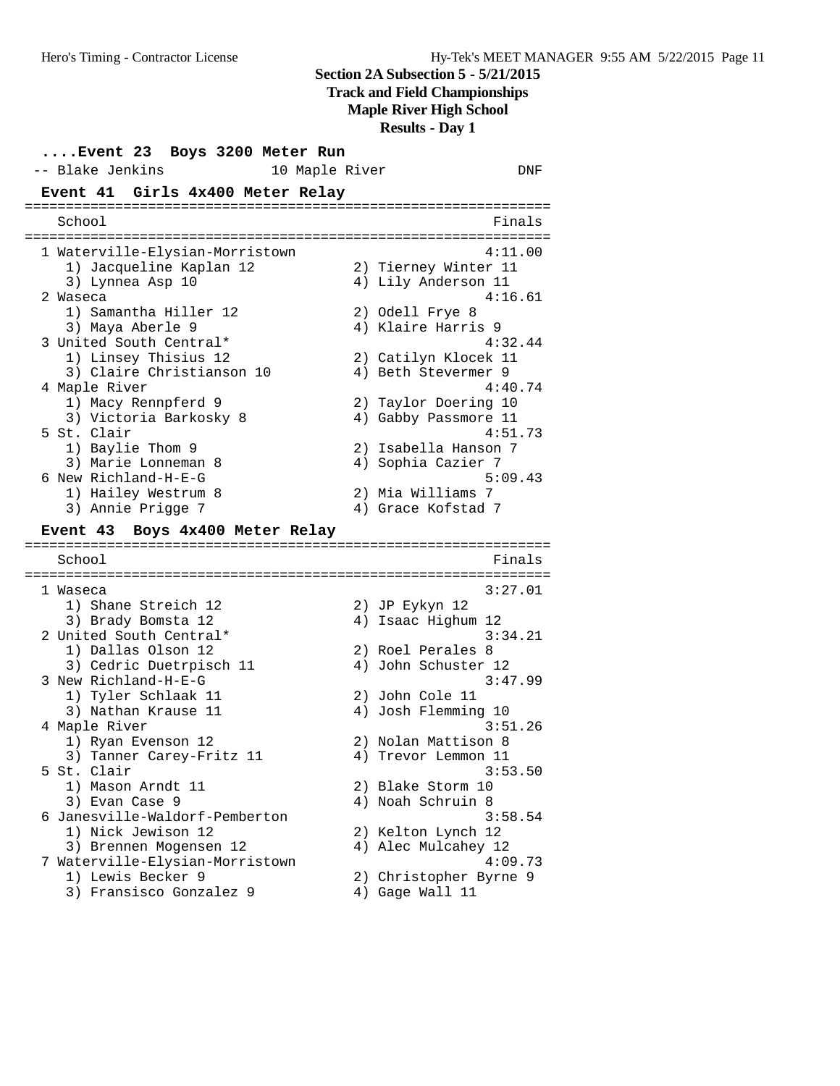**Track and Field Championships**

**Maple River High School**

**Results - Day 1**

**....Event 23 Boys 3200 Meter Run** -- Blake Jenkins 10 Maple River 2014 DNF **Event 41 Girls 4x400 Meter Relay** ================================================================ School ================================================================ 1 Waterville-Elysian-Morristown 4:11.00 1) Jacqueline Kaplan 12<br>3) Iymnoo Asp 10 aterville-Elysian moltiscom.<br>
3) Jacqueline Kaplan 12 (2) Tierney Winter 11<br>
3) Lynnea Asp 10 (4) Lily Anderson 11 2 Waseca 4:16.61 1) Samantha Hiller 12 2) Odell Frye 8 3) Maya Aberle 9 (4) Klaire Harris 9 3 United South Central\* 4:32.44 1) Linsey Thisius 12 2) Catilyn Klocek 11 3) Claire Christianson 10 (4) Beth Stevermer 9 4 Maple River 4:40.74 1) Macy Rennpferd 9 2) Taylor Doering 10 3) Victoria Barkosky 8 (4) Gabby Passmore 11 5 St. Clair 4:51.73 1) Baylie Thom 9 2) Isabella Hanson 7 3) Marie Lonneman 8 4) Sophia Cazier 7 6 New Richland-H-E-G 5:09.43<br>1) Hailey Westrum 8 2) Mia Williams 7  $2)$  Mia Williams 7 3) Annie Prigge 7 4) Grace Kofstad 7 **Event 43 Boys 4x400 Meter Relay** ================================================================ School **Finals** ================================================================ 1 Waseca 3:27.01<br>
1) Shane Streich 12<br>
3) Brady Bomsta 12<br>
2 United South Central\* 3:34.21<br>
1) Dallas Olson 12<br>
2) Roel Perales 8 1) Shane Streich 12 2) JP Eykyn 12 3) Brady Bomsta 12 (4) Isaac Highum 12 2 United South Central\* 3:34.21 1) Dallas Olson 12 2) Roel Perales 8 3) Cedric Duetrpisch 11 <a>
4) John Schuster 12 3 New Richland-H-E-G 3:47.99 1) Tyler Schlaak 11 2) John Cole 11 3:47<br>
3) Tyler Schlaak 11 4) John Cole 11<br>
3) Nathan Krause 11 4) Josh Flemming 10<br>
1921 4) Josh Flemming 10 4 Maple River 3:51.26 1) Ryan Evenson 12 2) Nolan Mattison 8 3) Tanner Carey-Fritz 11 (4) Trevor Lemmon 11 5 St. Clair 3:53.50 1) Mason Arndt 11 2) Blake Storm 10 3) Evan Case 9 19 10 10 10 10 10 10 10 10 11 12 13 14 14 16 17 18 18 19 19 19 19 1 6 Janesville-Waldorf-Pemberton 3:58.54 1) Nick Jewison 12 2) Kelton Lynch 12 3) Brennen Mogensen 12 4) Alec Mulcahey 12 7 Waterville-Elysian-Morristown 4:09.73 1) Lewis Becker 9 2) Christopher Byrne 9 3) Fransisco Gonzalez 9 (4) Gage Wall 11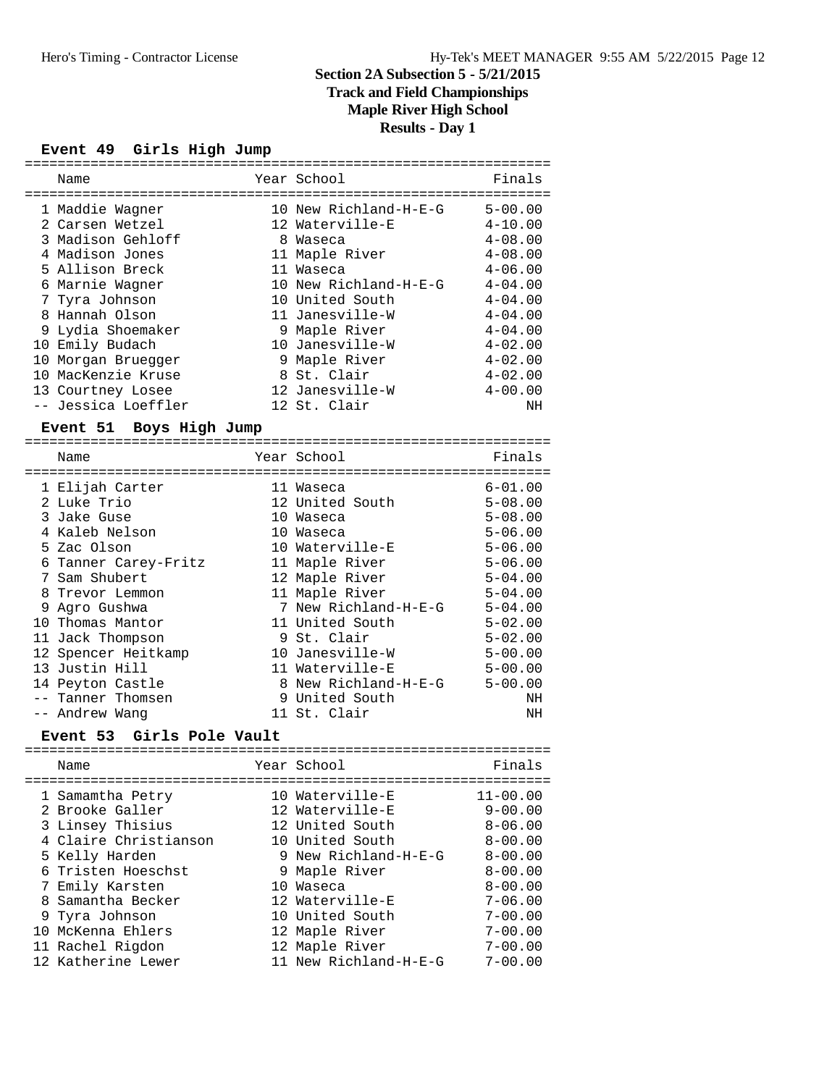# **Track and Field Championships**

**Maple River High School**

**Results - Day 1**

#### **Event 49 Girls High Jump** ================================================================

| Name                                             | Year School           | Finals       |
|--------------------------------------------------|-----------------------|--------------|
| ==========<br>===============<br>1 Maddie Wagner | 10 New Richland-H-E-G | $5 - 00.00$  |
| 2 Carsen Wetzel                                  | 12 Waterville-E       | $4 - 10.00$  |
| 3 Madison Gehloff                                | 8 Waseca              | $4 - 08.00$  |
| 4 Madison Jones                                  | 11 Maple River        | $4 - 08.00$  |
| 5 Allison Breck                                  | 11 Waseca             | $4 - 06.00$  |
| 6 Marnie Wagner                                  | 10 New Richland-H-E-G | $4 - 04.00$  |
| 7 Tyra Johnson                                   | 10 United South       | $4 - 04.00$  |
| 8 Hannah Olson                                   | 11 Janesville-W       | $4 - 04.00$  |
| 9 Lydia Shoemaker                                | 9 Maple River         | $4 - 04.00$  |
| 10 Emily Budach                                  | 10 Janesville-W       | $4 - 02.00$  |
| 10 Morgan Bruegger                               | 9 Maple River         | $4 - 02.00$  |
| 10 MacKenzie Kruse                               | 8 St. Clair           | $4 - 02.00$  |
| 13 Courtney Losee                                | 12 Janesville-W       | $4 - 00.00$  |
| -- Jessica Loeffler                              | 12 St. Clair          | NH           |
|                                                  |                       |              |
| Event 51 Boys High Jump                          |                       |              |
| Name                                             | Year School           | Finals       |
|                                                  |                       |              |
| 1 Elijah Carter                                  | 11 Waseca             | $6 - 01.00$  |
| 2 Luke Trio                                      | 12 United South       | $5 - 08.00$  |
| 3 Jake Guse                                      | 10 Waseca             | $5 - 08.00$  |
| 4 Kaleb Nelson                                   | 10 Waseca             | $5 - 06.00$  |
| 5 Zac Olson                                      | 10 Waterville-E       | $5 - 06.00$  |
| 6 Tanner Carey-Fritz                             | 11 Maple River        | $5 - 06.00$  |
| 7 Sam Shubert                                    | 12 Maple River        | $5 - 04.00$  |
| 8 Trevor Lemmon                                  | 11 Maple River        | $5 - 04.00$  |
| 9 Agro Gushwa                                    | 7 New Richland-H-E-G  | $5 - 04.00$  |
| 10 Thomas Mantor                                 | 11 United South       | $5 - 02.00$  |
| 11 Jack Thompson                                 | 9 St. Clair           | $5 - 02.00$  |
| 12 Spencer Heitkamp                              | 10 Janesville-W       | $5 - 00.00$  |
| 13 Justin Hill                                   | 11 Waterville-E       | $5 - 00.00$  |
| 14 Peyton Castle                                 | 8 New Richland-H-E-G  | $5 - 00.00$  |
| -- Tanner Thomsen                                | 9 United South        | NH           |
| -- Andrew Wang                                   | 11 St. Clair          | NH           |
| Girls Pole Vault<br>Event 53                     |                       |              |
| Name                                             | Year School           | Finals       |
|                                                  |                       |              |
| 1 Samamtha Petry                                 | 10 Waterville-E       | $11 - 00.00$ |
| 2 Brooke Galler                                  | 12 Waterville-E       | $9 - 00.00$  |
| 3 Linsey Thisius                                 | 12 United South       | $8 - 06.00$  |
| 4 Claire Christianson                            | 10 United South       | $8 - 00.00$  |
| 5 Kelly Harden                                   | 9 New Richland-H-E-G  | $8 - 00.00$  |
| 6 Tristen Hoeschst                               | 9 Maple River         | $8 - 00.00$  |
| 7 Emily Karsten                                  | 10 Waseca             | $8 - 00.00$  |
| 8 Samantha Becker                                | 12 Waterville-E       | $7 - 06.00$  |
| 9 Tyra Johnson                                   | 10 United South       | $7 - 00.00$  |
| 10 McKenna Ehlers                                | 12 Maple River        | $7 - 00.00$  |
| 11 Rachel Rigdon                                 | 12 Maple River        | $7 - 00.00$  |
| 12 Katherine Lewer                               | 11 New Richland-H-E-G | $7 - 00.00$  |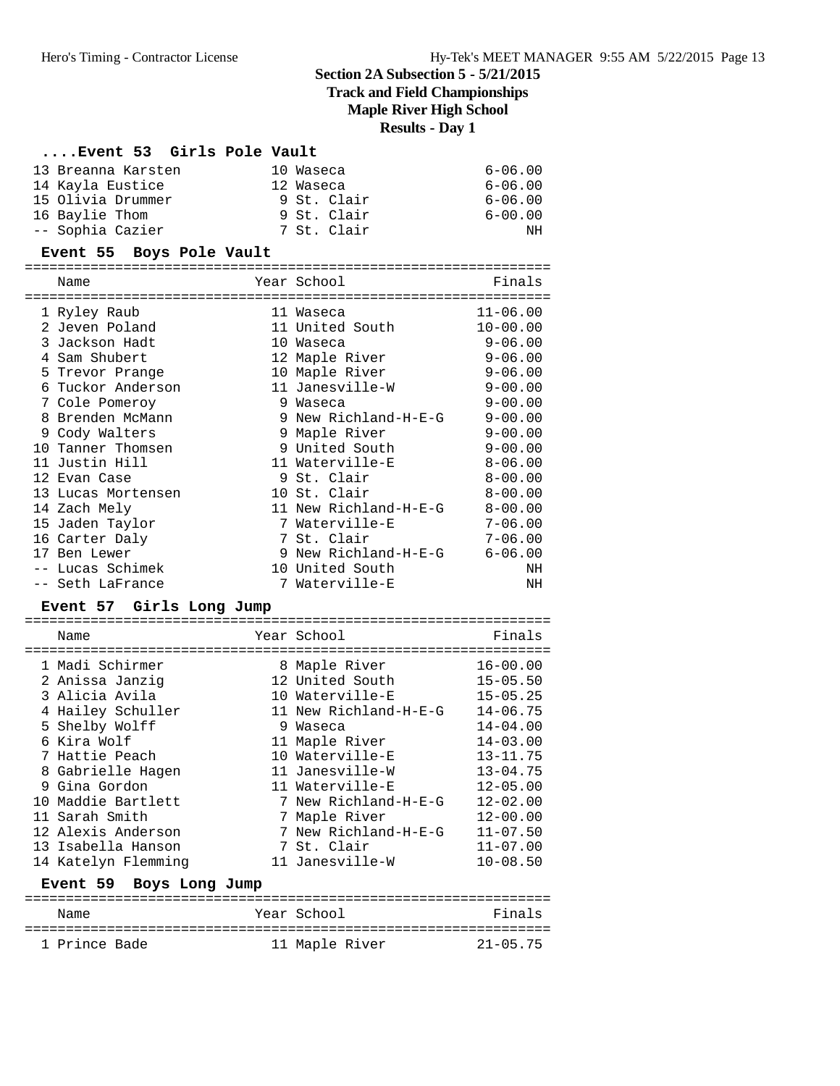**Track and Field Championships**

# **Maple River High School**

**Results - Day 1**

### **....Event 53 Girls Pole Vault**

| 13 Breanna Karsten | 10 Waseca   | $6 - 06.00$ |
|--------------------|-------------|-------------|
| 14 Kayla Eustice   | 12 Waseca   | $6 - 06.00$ |
| 15 Olivia Drummer  | 9 St. Clair | $6 - 06.00$ |
| 16 Baylie Thom     | 9 St. Clair | $6 - 00.00$ |
| -- Sophia Cazier   | 7 St. Clair | NH.         |

# **Event 55 Boys Pole Vault**

|       | Name<br>================ |          | Year School           | Finals       |
|-------|--------------------------|----------|-----------------------|--------------|
|       | 1 Ryley Raub             |          | 11 Waseca             | $11 - 06.00$ |
|       | 2 Jeven Poland           |          | 11 United South       | $10 - 00.00$ |
|       | 3 Jackson Hadt           | $10^{-}$ | Waseca                | $9 - 06.00$  |
|       | 4 Sam Shubert            |          | 12 Maple River        | $9 - 06.00$  |
|       | 5 Trevor Prange          |          | 10 Maple River        | $9 - 06.00$  |
| 6     | Tuckor Anderson          |          | 11 Janesville-W       | $9 - 00.00$  |
|       | 7 Cole Pomeroy           | 9        | Waseca                | $9 - 00.00$  |
| 8     | Brenden McMann           |          | 9 New Richland-H-E-G  | $9 - 00.00$  |
|       | 9 Cody Walters           |          | 9 Maple River         | $9 - 00.00$  |
| 1 O   | Tanner Thomsen           |          | 9 United South        | $9 - 00.00$  |
| 11    | Justin Hill              |          | 11 Waterville-E       | $8 - 06.00$  |
|       | 12 Evan Case             |          | 9 St. Clair           | $8 - 00.00$  |
| 13    | Lucas Mortensen          |          | 10 St. Clair          | $8 - 00.00$  |
|       | 14 Zach Mely             |          | 11 New Richland-H-E-G | $8 - 00.00$  |
|       | 15 Jaden Taylor          | 7        | Waterville-E          | $7 - 06.00$  |
|       | 16 Carter Daly           |          | 7 St. Clair           | $7 - 06.00$  |
|       | 17 Ben Lewer             |          | 9 New Richland-H-E-G  | $6 - 06.00$  |
| $- -$ | Lucas Schimek            |          | 10 United South       | ΝH           |
|       | -- Seth LaFrance         |          | 7 Waterville-E        | NH           |

# **Event 57 Girls Long Jump** ================================================================

| Name                              | Year School           | Finals       |
|-----------------------------------|-----------------------|--------------|
| 1 Madi Schirmer                   | 8 Maple River         | $16 - 00.00$ |
| 2 Anissa Janziq                   | 12 United South       | $15 - 05.50$ |
| 3 Alicia Avila                    | 10 Waterville-E       | $15 - 05.25$ |
| 4 Hailey Schuller                 | 11 New Richland-H-E-G | $14 - 06.75$ |
| 5 Shelby Wolff                    | 9 Waseca              | $14 - 04.00$ |
| 6 Kira Wolf                       | 11 Maple River        | $14 - 03.00$ |
| 7 Hattie Peach                    | 10 Waterville-E       | $13 - 11.75$ |
| 8 Gabrielle Hagen                 | 11 Janesville-W       | $13 - 04.75$ |
| 9 Gina Gordon                     | 11 Waterville-E       | $12 - 05.00$ |
| 10 Maddie Bartlett                | 7 New Richland-H-E-G  | $12 - 02.00$ |
| 11 Sarah Smith                    | 7 Maple River         | $12 - 00.00$ |
| 12 Alexis Anderson                | 7 New Richland-H-E-G  | $11 - 07.50$ |
| 13 Isabella Hanson                | 7 St. Clair           | $11 - 07.00$ |
| 14 Katelyn Flemming               | 11 Janesville-W       | $10 - 08.50$ |
| <b>Event 59</b><br>Boys Long Jump |                       |              |

| Name          | Year School    | Finals       |
|---------------|----------------|--------------|
| 1 Prince Bade | 11 Maple River | $21 - 05.75$ |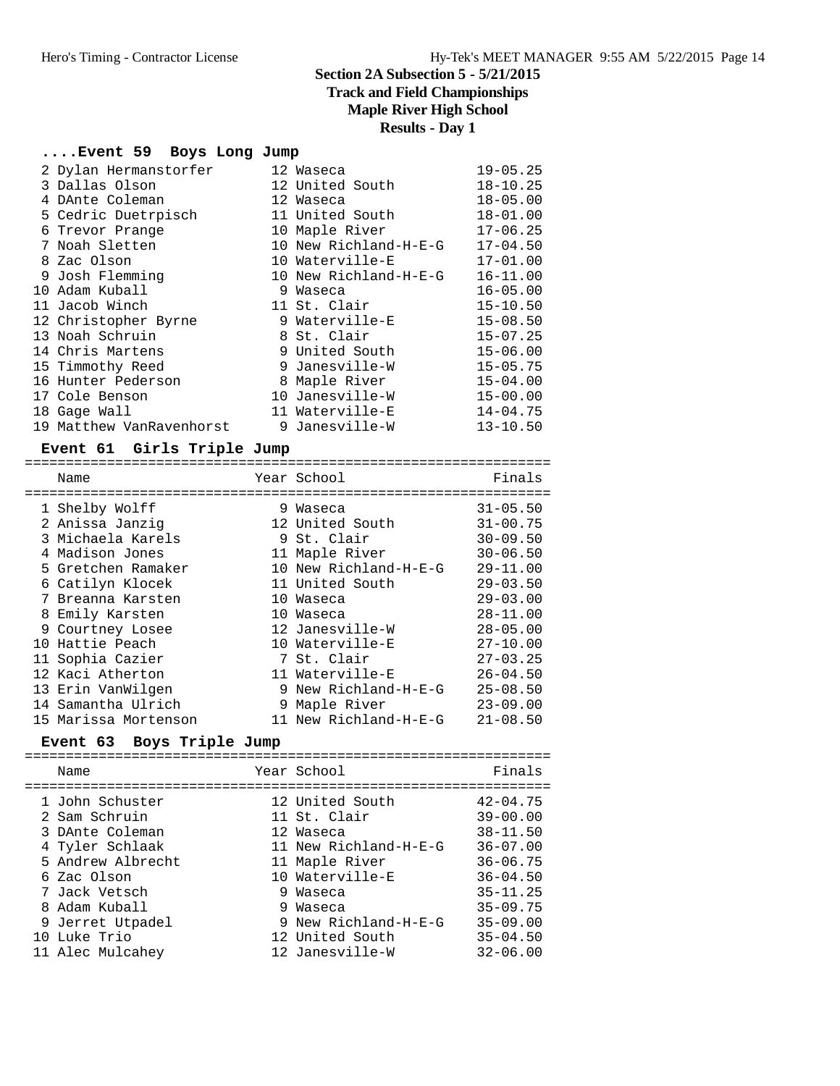**Track and Field Championships**

**Maple River High School**

# **Results - Day 1**

# **....Event 59 Boys Long Jump**

| 2 Dylan Hermanstorfer    |   | 12 Waseca             | $19 - 05.25$ |
|--------------------------|---|-----------------------|--------------|
| 3 Dallas Olson           |   | 12 United South       | $18 - 10.25$ |
| 4 DAnte Coleman          |   | 12 Waseca             | $18 - 05.00$ |
| 5 Cedric Duetrpisch      |   | 11 United South       | $18 - 01.00$ |
| 6 Trevor Prange          |   | 10 Maple River        | $17 - 06.25$ |
| 7 Noah Sletten           |   | 10 New Richland-H-E-G | $17 - 04.50$ |
| 8 Zac Olson              |   | 10 Waterville-E       | $17 - 01.00$ |
| 9 Josh Flemming          |   | 10 New Richland-H-E-G | $16 - 11.00$ |
| 10 Adam Kuball           | 9 | Waseca                | $16 - 05.00$ |
| 11 Jacob Winch           |   | 11 St. Clair          | $15 - 10.50$ |
| 12 Christopher Byrne     |   | 9 Waterville-E        | $15 - 08.50$ |
| 13 Noah Schruin          |   | 8 St. Clair           | $15 - 07.25$ |
| 14 Chris Martens         |   | 9 United South        | $15 - 06.00$ |
| 15 Timmothy Reed         |   | 9 Janesville-W        | $15 - 05.75$ |
| 16 Hunter Pederson       |   | 8 Maple River         | $15 - 04.00$ |
| 17 Cole Benson           |   | 10 Janesville-W       | $15 - 00.00$ |
| 18 Gage Wall             |   | 11 Waterville-E       | $14 - 04.75$ |
| 19 Matthew VanRavenhorst |   | 9 Janesville-W        | $13 - 10.50$ |

### **Event 61 Girls Triple Jump**

|   | Name                 | Year School           | Finals       |
|---|----------------------|-----------------------|--------------|
|   |                      |                       |              |
|   | 1 Shelby Wolff       | 9 Waseca              | $31 - 05.50$ |
|   | 2 Anissa Janziq      | 12 United South       | $31 - 00.75$ |
|   | 3 Michaela Karels    | 9 St. Clair           | $30 - 09.50$ |
|   | 4 Madison Jones      | 11 Maple River        | $30 - 06.50$ |
|   | 5 Gretchen Ramaker   | 10 New Richland-H-E-G | $29 - 11.00$ |
|   | 6 Catilyn Klocek     | 11 United South       | $29 - 03.50$ |
|   | Breanna Karsten      | 10 Waseca             | $29 - 03.00$ |
| 8 | Emily Karsten        | 10 Waseca             | $28 - 11.00$ |
|   | 9 Courtney Losee     | 12 Janesville-W       | $28 - 05.00$ |
|   | 10 Hattie Peach      | 10 Waterville-E       | $27 - 10.00$ |
|   | 11 Sophia Cazier     | 7 St. Clair           | $27 - 03.25$ |
|   | 12 Kaci Atherton     | 11 Waterville-E       | $26 - 04.50$ |
|   | 13 Erin VanWilgen    | 9 New Richland-H-E-G  | $25 - 08.50$ |
|   | 14 Samantha Ulrich   | 9 Maple River         | $23 - 09.00$ |
|   | 15 Marissa Mortenson | 11 New Richland-H-E-G | $21 - 08.50$ |

### **Event 63 Boys Triple Jump**

|  | Name                                                                                                                                                                             | Year School                                                                                                                                                | Finals                                                                                                                                                       |
|--|----------------------------------------------------------------------------------------------------------------------------------------------------------------------------------|------------------------------------------------------------------------------------------------------------------------------------------------------------|--------------------------------------------------------------------------------------------------------------------------------------------------------------|
|  | 1 John Schuster<br>2 Sam Schruin<br>3 DAnte Coleman<br>4 Tyler Schlaak<br>5 Andrew Albrecht<br>6 Zac Olson<br>7 Jack Vetsch<br>8 Adam Kuball<br>9 Jerret Utpadel<br>10 Luke Trio | 12 United South<br>11 St. Clair<br>12 Waseca<br>11 New Richland-H-E-G<br>11 Maple River<br>10 Waterville-E<br>9 Waseca<br>9 Waseca<br>9 New Richland-H-E-G | $42 - 04.75$<br>$39 - 00.00$<br>$38 - 11.50$<br>$36 - 07.00$<br>$36 - 06.75$<br>$36 - 04.50$<br>$35 - 11.25$<br>$35 - 09.75$<br>$35 - 09.00$<br>$35 - 04.50$ |
|  | 11 Alec Mulcahey                                                                                                                                                                 | 12 United South<br>12 Janesville-W                                                                                                                         | $32 - 06.00$                                                                                                                                                 |
|  |                                                                                                                                                                                  |                                                                                                                                                            |                                                                                                                                                              |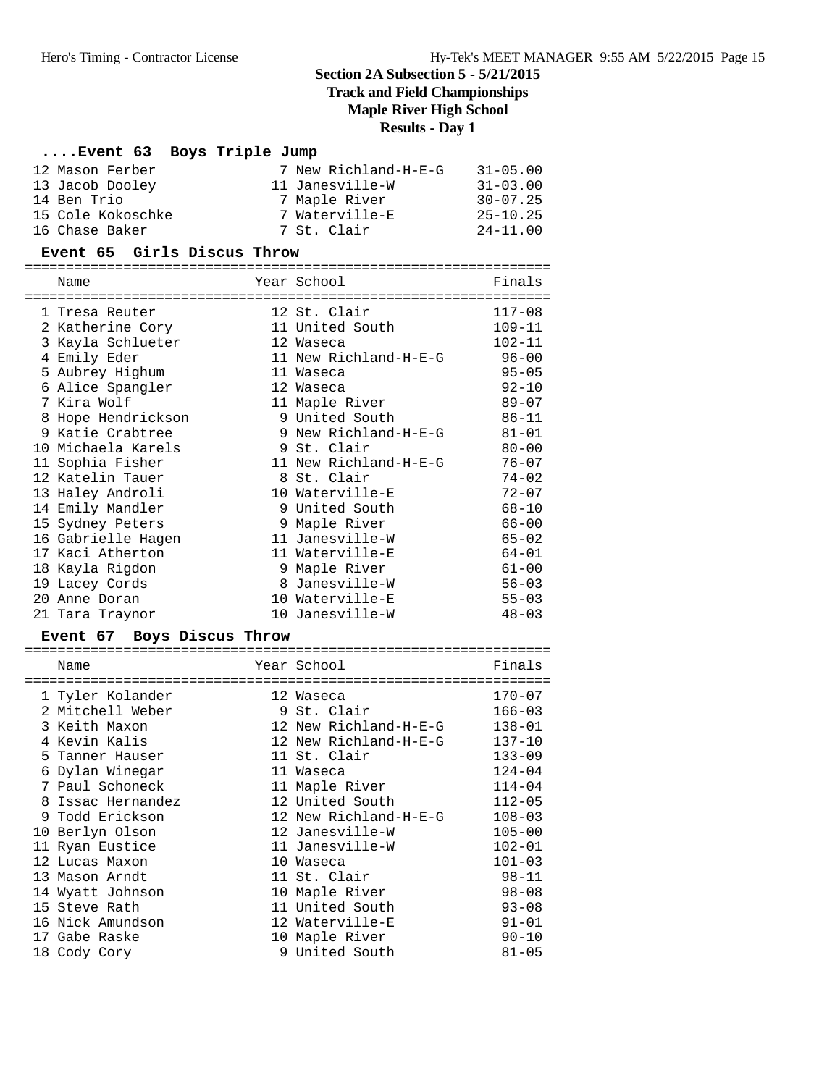**Track and Field Championships**

**Maple River High School**

# **Results - Day 1**

# **....Event 63 Boys Triple Jump**

| 12 Mason Ferber   | 7 New Richland-H-E-G | $31 - 05.00$ |
|-------------------|----------------------|--------------|
| 13 Jacob Dooley   | 11 Janesville-W      | $31 - 03.00$ |
| 14 Ben Trio       | 7 Maple River        | $30 - 07.25$ |
| 15 Cole Kokoschke | 7 Waterville-E       | $25 - 10.25$ |
| 16 Chase Baker    | 7 St. Clair          | $24 - 11.00$ |

### **Event 65 Girls Discus Throw**

|    | Name               |    | Year School           | Finals     |
|----|--------------------|----|-----------------------|------------|
|    | 1 Tresa Reuter     |    | 12 St. Clair          | $117 - 08$ |
|    | 2 Katherine Cory   |    | 11 United South       | $109 - 11$ |
| 3  | Kayla Schlueter    |    | 12 Waseca             | $102 - 11$ |
| 4  | Emily Eder         |    | 11 New Richland-H-E-G | $96 - 00$  |
| 5. | Aubrey Highum      |    | 11 Waseca             | $95 - 05$  |
|    | 6 Alice Spangler   |    | 12 Waseca             | $92 - 10$  |
|    | 7 Kira Wolf        |    | 11 Maple River        | $89 - 07$  |
| 8  | Hope Hendrickson   |    | 9 United South        | $86 - 11$  |
|    | 9 Katie Crabtree   | 9. | New Richland-H-E-G    | $81 - 01$  |
| 10 | Michaela Karels    |    | 9 St. Clair           | $80 - 00$  |
|    | 11 Sophia Fisher   |    | 11 New Richland-H-E-G | $76 - 07$  |
|    | 12 Katelin Tauer   |    | 8 St. Clair           | $74 - 02$  |
|    | 13 Haley Androli   |    | 10 Waterville-E       | $72 - 07$  |
|    | 14 Emily Mandler   |    | 9 United South        | $68 - 10$  |
|    | 15 Sydney Peters   | 9  | Maple River           | $66 - 00$  |
|    | 16 Gabrielle Hagen |    | 11 Janesville-W       | $65 - 02$  |
|    | 17 Kaci Atherton   | 11 | Waterville-E          | $64 - 01$  |
|    | 18 Kayla Rigdon    |    | 9 Maple River         | $61 - 00$  |
| 19 | Lacey Cords        |    | 8 Janesville-W        | $56 - 03$  |
| 20 | Anne Doran         |    | 10 Waterville-E       | $55 - 03$  |
|    | 21 Tara Traynor    |    | 10 Janesville-W       | $48 - 03$  |

### **Event 67 Boys Discus Throw**

|    | Name             | Year School           | Finals     |
|----|------------------|-----------------------|------------|
|    | 1 Tyler Kolander | 12 Waseca             | $170 - 07$ |
|    | 2 Mitchell Weber | 9 St. Clair           | $166 - 03$ |
|    | 3 Keith Maxon    | 12 New Richland-H-E-G | $138 - 01$ |
|    | Kevin Kalis      | 12 New Richland-H-E-G | $137 - 10$ |
|    | 5 Tanner Hauser  | 11 St. Clair          | $133 - 09$ |
|    | 6 Dylan Winegar  | 11 Waseca             | $124 - 04$ |
|    | 7 Paul Schoneck  | 11 Maple River        | $114 - 04$ |
| 8  | Issac Hernandez  | 12 United South       | $112 - 05$ |
|    | 9 Todd Erickson  | 12 New Richland-H-E-G | $108 - 03$ |
| 10 | Berlyn Olson     | 12 Janesville-W       | $105 - 00$ |
|    | 11 Ryan Eustice  | 11 Janesville-W       | $102 - 01$ |
|    | 12 Lucas Maxon   | 10 Waseca             | $101 - 03$ |
|    | 13 Mason Arndt   | 11 St. Clair          | $98 - 11$  |
|    | 14 Wyatt Johnson | 10 Maple River        | $98 - 08$  |
|    | 15 Steve Rath    | 11 United South       | $93 - 08$  |
|    | 16 Nick Amundson | 12 Waterville-E       | $91 - 01$  |
|    | 17 Gabe Raske    | 10 Maple River        | $90 - 10$  |
|    | 18 Cody Cory     | 9 United South        | $81 - 05$  |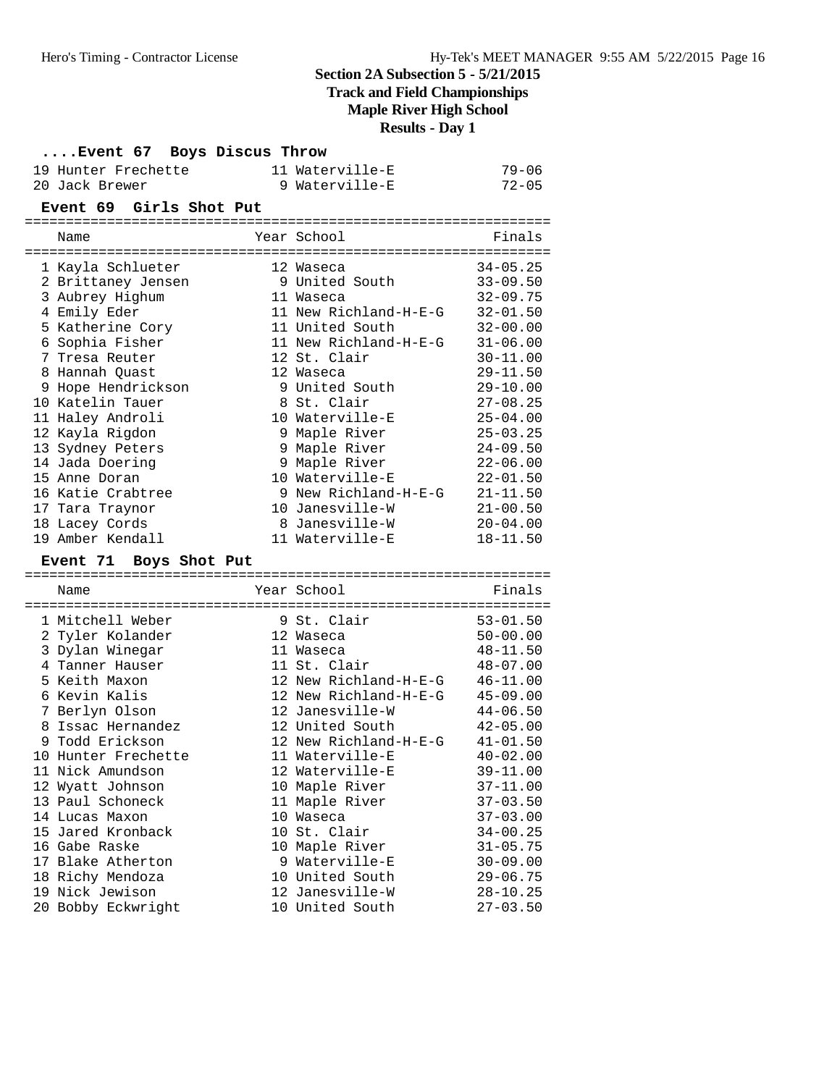**Track and Field Championships**

**Maple River High School**

**Results - Day 1**

| Event 67 Boys Discus Throw            |                                    |                              |
|---------------------------------------|------------------------------------|------------------------------|
| 19 Hunter Frechette                   | 11 Waterville-E                    | $79 - 06$                    |
| 20 Jack Brewer                        | 9 Waterville-E                     | $72 - 05$                    |
| Event 69 Girls Shot Put               |                                    |                              |
|                                       |                                    |                              |
| Name                                  | Year School                        | Finals                       |
| l Kayla Schlueter                     | 12 Waseca                          | $34 - 05.25$                 |
| 2 Brittaney Jensen                    | 9 United South                     | $33 - 09.50$                 |
| 3 Aubrey Highum                       | 11 Waseca                          | $32 - 09.75$                 |
| 4 Emily Eder                          | 11 New Richland-H-E-G              | $32 - 01.50$                 |
| 5 Katherine Cory                      | 11 United South                    | $32 - 00.00$                 |
| 6 Sophia Fisher                       | 11 New Richland-H-E-G              | $31 - 06.00$                 |
| 7 Tresa Reuter                        | 12 St. Clair                       | $30 - 11.00$                 |
| 8 Hannah Quast                        | 12 Waseca                          | $29 - 11.50$                 |
| 9 Hope Hendrickson                    | 9 United South                     | $29 - 10.00$                 |
| 10 Katelin Tauer                      | 8 St. Clair                        | $27 - 08.25$                 |
| 11 Haley Androli                      | 10 Waterville-E                    | $25 - 04.00$                 |
| 12 Kayla Rigdon                       | 9 Maple River                      | $25 - 03.25$                 |
| 13 Sydney Peters                      | 9 Maple River                      | $24 - 09.50$                 |
| 14 Jada Doering                       | 9 Maple River                      | $22 - 06.00$                 |
| 15 Anne Doran                         | 10 Waterville-E                    | $22 - 01.50$                 |
| 16 Katie Crabtree                     | 9 New Richland-H-E-G               | $21 - 11.50$                 |
| 17 Tara Traynor                       | 10 Janesville-W                    | $21 - 00.50$                 |
| 18 Lacey Cords                        | 8 Janesville-W                     | $20 - 04.00$                 |
| 19 Amber Kendall                      | 11 Waterville-E                    | 18-11.50                     |
| Event 71 Boys Shot Put                |                                    |                              |
| Name                                  | Year School                        | Finals                       |
|                                       |                                    |                              |
| 1 Mitchell Weber                      | 9 St. Clair                        | $53 - 01.50$                 |
| 2 Tyler Kolander                      |                                    |                              |
|                                       | 12 Waseca                          | $50 - 00.00$                 |
| 3 Dylan Winegar                       | 11 Waseca                          | $48 - 11.50$                 |
| 4 Tanner Hauser                       | 11 St. Clair                       | $48 - 07.00$                 |
| 5 Keith Maxon                         | 12 New Richland-H-E-G              | $46 - 11.00$                 |
| 6 Kevin Kalis                         | 12 New Richland-H-E-G              | $45 - 09.00$                 |
| 7 Berlyn Olson                        | 12 Janesville-W                    | $44 - 06.50$                 |
| 8 Issac Hernandez                     | 12 United South                    | $42 - 05.00$                 |
| 9 Todd Erickson                       | 12 New Richland-H-E-G              | $41 - 01.50$                 |
| 10 Hunter Frechette                   | 11 Waterville-E                    | $40 - 02.00$                 |
| 11 Nick Amundson                      | 12 Waterville-E                    | $39 - 11.00$                 |
| 12 Wyatt Johnson                      | 10 Maple River                     | $37 - 11.00$                 |
| 13 Paul Schoneck                      | 11 Maple River                     | $37 - 03.50$                 |
| 14 Lucas Maxon                        | 10 Waseca                          | $37 - 03.00$                 |
| 15 Jared Kronback                     | 10 St. Clair                       | $34 - 00.25$                 |
| 16 Gabe Raske                         | 10 Maple River                     | $31 - 05.75$                 |
| 17 Blake Atherton                     | 9 Waterville-E                     | $30 - 09.00$                 |
| 18 Richy Mendoza                      | 10 United South                    | $29 - 06.75$                 |
| 19 Nick Jewison<br>20 Bobby Eckwright | 12 Janesville-W<br>10 United South | $28 - 10.25$<br>$27 - 03.50$ |